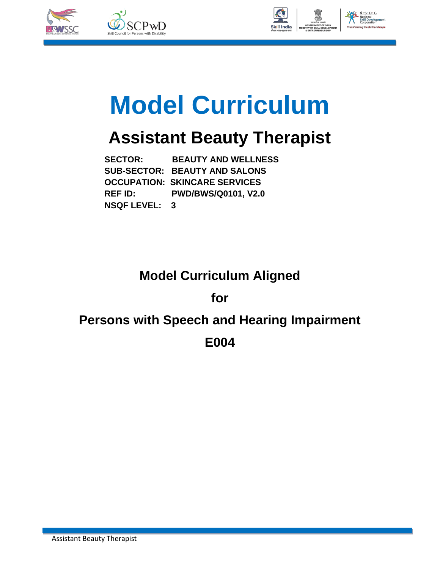



# **Model Curriculum**

## **Assistant Beauty Therapist**

 **SECTOR: BEAUTY AND WELLNESS SUB-SECTOR: BEAUTY AND SALONS OCCUPATION: SKINCARE SERVICES REF ID: PWD/BWS/Q0101, V2.0 NSQF LEVEL: 3**

### **Model Curriculum Aligned**

**for**

### **Persons with Speech and Hearing Impairment**

**E004**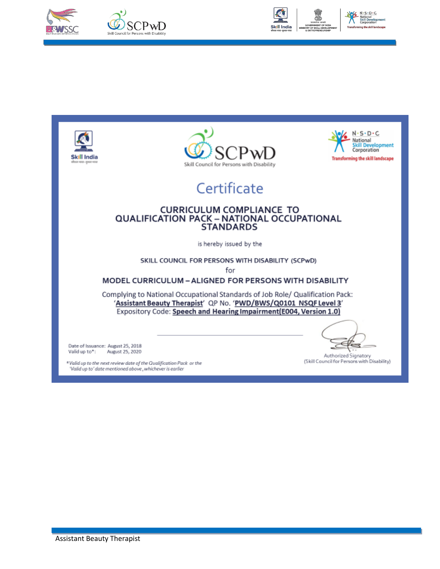



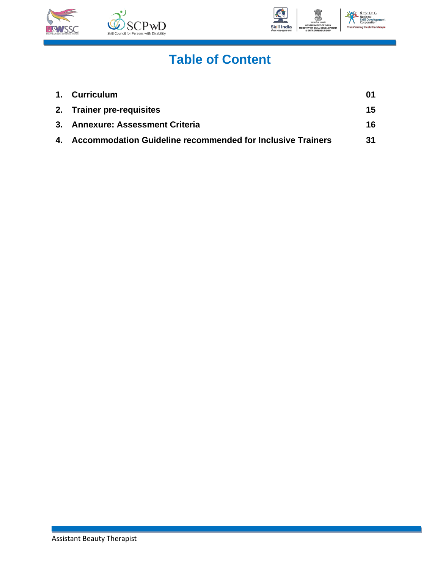



## **Table of Content**

| 1. Curriculum                                                 |    |
|---------------------------------------------------------------|----|
| 2. Trainer pre-requisites                                     | 15 |
| 3. Annexure: Assessment Criteria                              | 16 |
| 4. Accommodation Guideline recommended for Inclusive Trainers | 31 |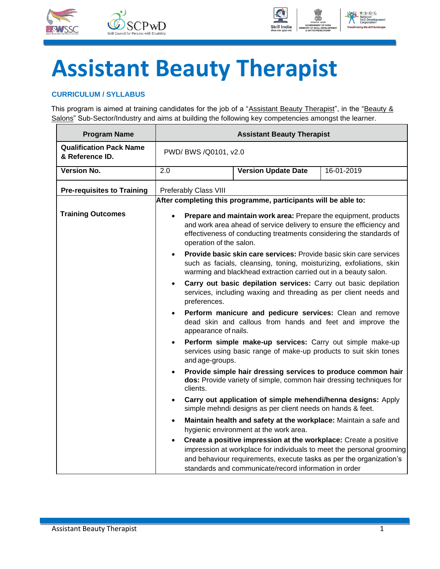



## **Assistant Beauty Therapist**

#### <span id="page-3-0"></span>**CURRICULUM / SYLLABUS**

This program is aimed at training candidates for the job of a "Assistant Beauty Therapist", in the "Beauty & Salons" Sub-Sector/Industry and aims at building the following key competencies amongst the learner.

| <b>Program Name</b>                               | <b>Assistant Beauty Therapist</b>                                                                                                                                                                                                         |                                                                                                                                                                                                                                                                           |            |  |  |  |
|---------------------------------------------------|-------------------------------------------------------------------------------------------------------------------------------------------------------------------------------------------------------------------------------------------|---------------------------------------------------------------------------------------------------------------------------------------------------------------------------------------------------------------------------------------------------------------------------|------------|--|--|--|
| <b>Qualification Pack Name</b><br>& Reference ID. |                                                                                                                                                                                                                                           | PWD/ BWS /Q0101, v2.0                                                                                                                                                                                                                                                     |            |  |  |  |
| <b>Version No.</b>                                | 2.0                                                                                                                                                                                                                                       | <b>Version Update Date</b>                                                                                                                                                                                                                                                | 16-01-2019 |  |  |  |
| <b>Pre-requisites to Training</b>                 | Preferably Class VIII                                                                                                                                                                                                                     |                                                                                                                                                                                                                                                                           |            |  |  |  |
|                                                   |                                                                                                                                                                                                                                           | After completing this programme, participants will be able to:                                                                                                                                                                                                            |            |  |  |  |
| <b>Training Outcomes</b>                          | Prepare and maintain work area: Prepare the equipment, products<br>and work area ahead of service delivery to ensure the efficiency and<br>effectiveness of conducting treatments considering the standards of<br>operation of the salon. |                                                                                                                                                                                                                                                                           |            |  |  |  |
|                                                   | Provide basic skin care services: Provide basic skin care services<br>$\bullet$<br>such as facials, cleansing, toning, moisturizing, exfoliations, skin<br>warming and blackhead extraction carried out in a beauty salon.                |                                                                                                                                                                                                                                                                           |            |  |  |  |
|                                                   | Carry out basic depilation services: Carry out basic depilation<br>$\bullet$<br>services, including waxing and threading as per client needs and<br>preferences.                                                                          |                                                                                                                                                                                                                                                                           |            |  |  |  |
|                                                   | Perform manicure and pedicure services: Clean and remove<br>dead skin and callous from hands and feet and improve the<br>appearance of nails.                                                                                             |                                                                                                                                                                                                                                                                           |            |  |  |  |
|                                                   | $\bullet$<br>and age-groups.                                                                                                                                                                                                              | Perform simple make-up services: Carry out simple make-up<br>services using basic range of make-up products to suit skin tones                                                                                                                                            |            |  |  |  |
|                                                   | $\bullet$<br>clients.                                                                                                                                                                                                                     | Provide simple hair dressing services to produce common hair<br>dos: Provide variety of simple, common hair dressing techniques for                                                                                                                                       |            |  |  |  |
|                                                   | $\bullet$                                                                                                                                                                                                                                 | Carry out application of simple mehendi/henna designs: Apply<br>simple mehndi designs as per client needs on hands & feet.                                                                                                                                                |            |  |  |  |
|                                                   | Maintain health and safety at the workplace: Maintain a safe and<br>٠<br>hygienic environment at the work area.                                                                                                                           |                                                                                                                                                                                                                                                                           |            |  |  |  |
|                                                   | $\bullet$                                                                                                                                                                                                                                 | Create a positive impression at the workplace: Create a positive<br>impression at workplace for individuals to meet the personal grooming<br>and behaviour requirements, execute tasks as per the organization's<br>standards and communicate/record information in order |            |  |  |  |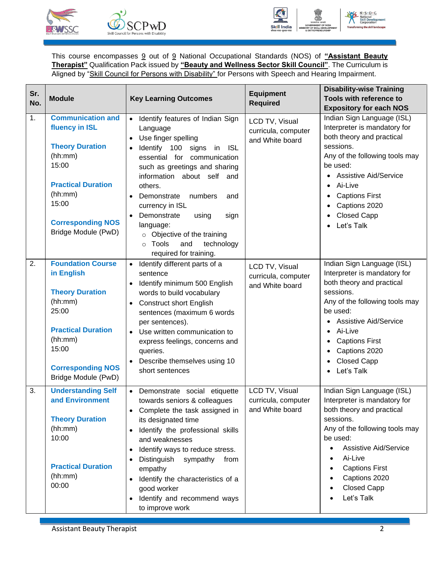



This course encompasses 9 out of 9 National Occupational Standards (NOS) of **"Assistant Beauty Therapist"** Qualification Pack issued by **"Beauty and Wellness Sector Skill Council"**. The Curriculum is Aligned by "Skill Council for Persons with Disability" for Persons with Speech and Hearing Impairment.

| Sr. | <b>Module</b>                                                                                                                                                                                | <b>Key Learning Outcomes</b>                                                                                                                                                                                                                                                                                                                                                                                                                                                        | <b>Equipment</b>                                         | <b>Disability-wise Training</b><br>Tools with reference to                                                                                                                                                                                                                               |
|-----|----------------------------------------------------------------------------------------------------------------------------------------------------------------------------------------------|-------------------------------------------------------------------------------------------------------------------------------------------------------------------------------------------------------------------------------------------------------------------------------------------------------------------------------------------------------------------------------------------------------------------------------------------------------------------------------------|----------------------------------------------------------|------------------------------------------------------------------------------------------------------------------------------------------------------------------------------------------------------------------------------------------------------------------------------------------|
| No. |                                                                                                                                                                                              |                                                                                                                                                                                                                                                                                                                                                                                                                                                                                     | <b>Required</b>                                          | <b>Expository for each NOS</b>                                                                                                                                                                                                                                                           |
| 1.  | <b>Communication and</b><br>fluency in ISL<br><b>Theory Duration</b><br>(hh:mm)<br>15:00<br><b>Practical Duration</b><br>(hh:mm)<br>15:00<br><b>Corresponding NOS</b><br>Bridge Module (PwD) | Identify features of Indian Sign<br>$\bullet$<br>Language<br>Use finger spelling<br>$\bullet$<br>Identify 100 signs<br><b>ISL</b><br>in<br>$\bullet$<br>essential for communication<br>such as greetings and sharing<br>information about self and<br>others.<br>numbers<br>Demonstrate<br>and<br>$\bullet$<br>currency in ISL<br>Demonstrate<br>using<br>sign<br>language:<br>$\circ$ Objective of the training<br>Tools<br>technology<br>and<br>$\circ$<br>required for training. | LCD TV, Visual<br>curricula, computer<br>and White board | Indian Sign Language (ISL)<br>Interpreter is mandatory for<br>both theory and practical<br>sessions.<br>Any of the following tools may<br>be used:<br><b>Assistive Aid/Service</b><br>Ai-Live<br><b>Captions First</b><br>$\bullet$<br>Captions 2020<br><b>Closed Capp</b><br>Let's Talk |
| 2.  | <b>Foundation Course</b><br>in English<br><b>Theory Duration</b><br>(hh:mm)<br>25:00<br><b>Practical Duration</b><br>(hh:mm)<br>15:00<br><b>Corresponding NOS</b><br>Bridge Module (PwD)     | Identify different parts of a<br>$\bullet$<br>sentence<br>Identify minimum 500 English<br>words to build vocabulary<br><b>Construct short English</b><br>$\bullet$<br>sentences (maximum 6 words<br>per sentences).<br>Use written communication to<br>$\bullet$<br>express feelings, concerns and<br>queries.<br>Describe themselves using 10<br>short sentences                                                                                                                   | LCD TV, Visual<br>curricula, computer<br>and White board | Indian Sign Language (ISL)<br>Interpreter is mandatory for<br>both theory and practical<br>sessions.<br>Any of the following tools may<br>be used:<br><b>Assistive Aid/Service</b><br>Ai-Live<br><b>Captions First</b><br>Captions 2020<br><b>Closed Capp</b><br>Let's Talk              |
| 3.  | <b>Understanding Self</b><br>and Environment<br><b>Theory Duration</b><br>(hh:mm)<br>10:00<br><b>Practical Duration</b><br>(hh:mm)<br>00:00                                                  | Demonstrate social etiquette<br>towards seniors & colleagues<br>Complete the task assigned in<br>its designated time<br>Identify the professional skills<br>and weaknesses<br>Identify ways to reduce stress.<br>$\bullet$<br>Distinguish<br>sympathy<br>from<br>empathy<br>Identify the characteristics of a<br>$\bullet$<br>good worker<br>Identify and recommend ways<br>to improve work                                                                                         | LCD TV, Visual<br>curricula, computer<br>and White board | Indian Sign Language (ISL)<br>Interpreter is mandatory for<br>both theory and practical<br>sessions.<br>Any of the following tools may<br>be used:<br><b>Assistive Aid/Service</b><br>Ai-Live<br><b>Captions First</b><br>Captions 2020<br><b>Closed Capp</b><br>Let's Talk              |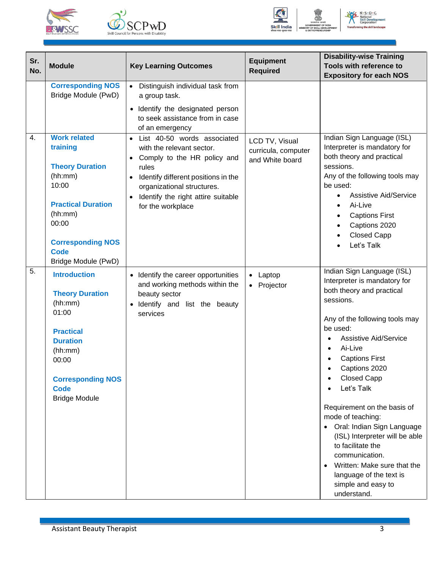





N.S.D.C.<br>National<br>Skill Developr<br>Corporation ent

| Sr.<br>No.       | <b>Module</b>                                                                                                                                                                                    | <b>Key Learning Outcomes</b>                                                                                                                                                                                                                               | <b>Equipment</b><br><b>Required</b>                      | <b>Disability-wise Training</b><br>Tools with reference to<br><b>Expository for each NOS</b>                                                                                                                                                                                                                                                                                                                                                                                                                                                         |
|------------------|--------------------------------------------------------------------------------------------------------------------------------------------------------------------------------------------------|------------------------------------------------------------------------------------------------------------------------------------------------------------------------------------------------------------------------------------------------------------|----------------------------------------------------------|------------------------------------------------------------------------------------------------------------------------------------------------------------------------------------------------------------------------------------------------------------------------------------------------------------------------------------------------------------------------------------------------------------------------------------------------------------------------------------------------------------------------------------------------------|
|                  | <b>Corresponding NOS</b><br>Bridge Module (PwD)                                                                                                                                                  | Distinguish individual task from<br>$\bullet$<br>a group task.<br>• Identify the designated person<br>to seek assistance from in case<br>of an emergency                                                                                                   |                                                          |                                                                                                                                                                                                                                                                                                                                                                                                                                                                                                                                                      |
| 4.               | <b>Work related</b><br>training<br><b>Theory Duration</b><br>(hh:mm)<br>10:00<br><b>Practical Duration</b><br>(hh:mm)<br>00:00<br><b>Corresponding NOS</b><br><b>Code</b><br>Bridge Module (PwD) | List 40-50 words associated<br>with the relevant sector.<br>Comply to the HR policy and<br>rules<br>Identify different positions in the<br>$\bullet$<br>organizational structures.<br>Identify the right attire suitable<br>$\bullet$<br>for the workplace | LCD TV, Visual<br>curricula, computer<br>and White board | Indian Sign Language (ISL)<br>Interpreter is mandatory for<br>both theory and practical<br>sessions.<br>Any of the following tools may<br>be used:<br><b>Assistive Aid/Service</b><br>Ai-Live<br>$\bullet$<br><b>Captions First</b><br>Captions 2020<br><b>Closed Capp</b><br>Let's Talk                                                                                                                                                                                                                                                             |
| $\overline{5}$ . | <b>Introduction</b><br><b>Theory Duration</b><br>(hh:mm)<br>01:00<br><b>Practical</b><br><b>Duration</b><br>(hh:mm)<br>00:00<br><b>Corresponding NOS</b><br><b>Code</b><br><b>Bridge Module</b>  | Identify the career opportunities<br>and working methods within the<br>beauty sector<br>Identify and list the beauty<br>services                                                                                                                           | • Laptop<br>• Projector                                  | Indian Sign Language (ISL)<br>Interpreter is mandatory for<br>both theory and practical<br>sessions.<br>Any of the following tools may<br>be used:<br><b>Assistive Aid/Service</b><br>Ai-Live<br>$\bullet$<br><b>Captions First</b><br>Captions 2020<br><b>Closed Capp</b><br>Let's Talk<br>Requirement on the basis of<br>mode of teaching:<br>• Oral: Indian Sign Language<br>(ISL) Interpreter will be able<br>to facilitate the<br>communication.<br>Written: Make sure that the<br>language of the text is<br>simple and easy to<br>understand. |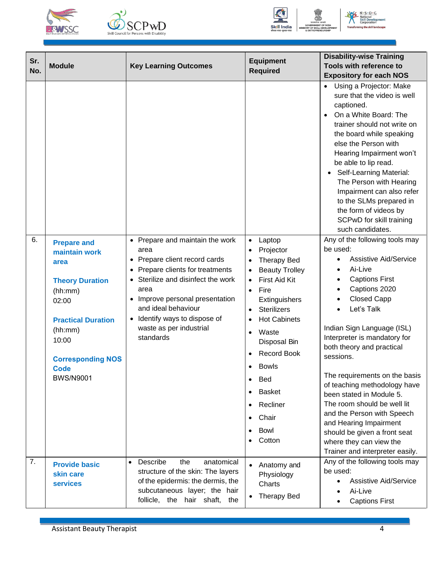







| Sr.<br>No. | <b>Module</b>                                                                                                                                                      | <b>Key Learning Outcomes</b>                                                                                                                                                                                                                                                    | <b>Equipment</b><br><b>Required</b>                                                                                                                                                                                                                                                                                                                                                    | <b>Disability-wise Training</b><br>Tools with reference to<br><b>Expository for each NOS</b>                                                                                                                                                                                                                                                                                                                                                                                                                                 |
|------------|--------------------------------------------------------------------------------------------------------------------------------------------------------------------|---------------------------------------------------------------------------------------------------------------------------------------------------------------------------------------------------------------------------------------------------------------------------------|----------------------------------------------------------------------------------------------------------------------------------------------------------------------------------------------------------------------------------------------------------------------------------------------------------------------------------------------------------------------------------------|------------------------------------------------------------------------------------------------------------------------------------------------------------------------------------------------------------------------------------------------------------------------------------------------------------------------------------------------------------------------------------------------------------------------------------------------------------------------------------------------------------------------------|
| 6.         | <b>Prepare and</b><br>maintain work                                                                                                                                | Prepare and maintain the work<br>$\bullet$<br>area                                                                                                                                                                                                                              | Laptop<br>$\bullet$<br>Projector                                                                                                                                                                                                                                                                                                                                                       | • Using a Projector: Make<br>sure that the video is well<br>captioned.<br>On a White Board: The<br>$\bullet$<br>trainer should not write on<br>the board while speaking<br>else the Person with<br>Hearing Impairment won't<br>be able to lip read.<br>• Self-Learning Material:<br>The Person with Hearing<br>Impairment can also refer<br>to the SLMs prepared in<br>the form of videos by<br>SCPwD for skill training<br>such candidates.<br>Any of the following tools may<br>be used:                                   |
|            | area<br><b>Theory Duration</b><br>(hh:mm)<br>02:00<br><b>Practical Duration</b><br>(hh:mm)<br>10:00<br><b>Corresponding NOS</b><br><b>Code</b><br><b>BWS/N9001</b> | Prepare client record cards<br>$\bullet$<br>Prepare clients for treatments<br>$\bullet$<br>Sterilize and disinfect the work<br>$\bullet$<br>area<br>Improve personal presentation<br>and ideal behaviour<br>Identify ways to dispose of<br>waste as per industrial<br>standards | <b>Therapy Bed</b><br><b>Beauty Trolley</b><br><b>First Aid Kit</b><br>$\bullet$<br>Fire<br>$\bullet$<br>Extinguishers<br><b>Sterilizers</b><br>$\bullet$<br><b>Hot Cabinets</b><br>Waste<br>$\bullet$<br>Disposal Bin<br><b>Record Book</b><br><b>Bowls</b><br>$\bullet$<br>Bed<br>$\bullet$<br><b>Basket</b><br>$\bullet$<br>Recliner<br>Chair<br>$\bullet$<br><b>Bowl</b><br>Cotton | <b>Assistive Aid/Service</b><br>$\bullet$<br>Ai-Live<br><b>Captions First</b><br>Captions 2020<br><b>Closed Capp</b><br>Let's Talk<br>Indian Sign Language (ISL)<br>Interpreter is mandatory for<br>both theory and practical<br>sessions.<br>The requirements on the basis<br>of teaching methodology have<br>been stated in Module 5.<br>The room should be well lit<br>and the Person with Speech<br>and Hearing Impairment<br>should be given a front seat<br>where they can view the<br>Trainer and interpreter easily. |
| 7.         | <b>Provide basic</b><br>skin care<br><b>services</b>                                                                                                               | Describe<br>the<br>anatomical<br>$\bullet$<br>structure of the skin: The layers<br>of the epidermis: the dermis, the<br>subcutaneous layer; the hair<br>follicle, the hair shaft, the                                                                                           | Anatomy and<br>Physiology<br>Charts<br><b>Therapy Bed</b>                                                                                                                                                                                                                                                                                                                              | Any of the following tools may<br>be used:<br><b>Assistive Aid/Service</b><br>Ai-Live<br><b>Captions First</b>                                                                                                                                                                                                                                                                                                                                                                                                               |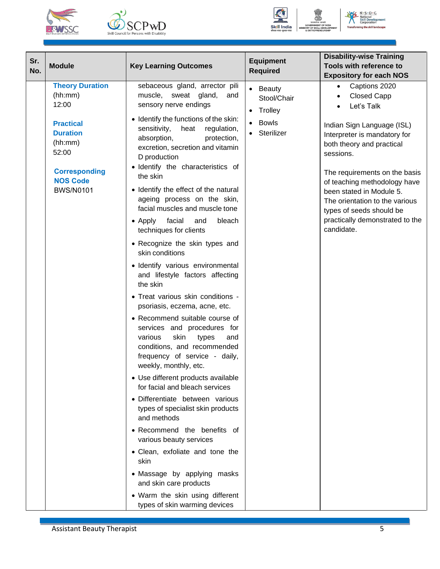





No Solutional<br>
Skill Developre

| Sr.<br>No. | <b>Module</b>                                                                                                                                                        | <b>Key Learning Outcomes</b>                                                                                                                                                                                                                                                                                                                                                                                                                                                                                                                                                                                                                                                                                                                                                                                                                                                                                                                                                                                                                                                                                                                                                                                                                                                                           | <b>Equipment</b><br><b>Required</b>                                  | <b>Disability-wise Training</b><br>Tools with reference to                                                                                                                                                                                                                                                                                                                                                                                     |
|------------|----------------------------------------------------------------------------------------------------------------------------------------------------------------------|--------------------------------------------------------------------------------------------------------------------------------------------------------------------------------------------------------------------------------------------------------------------------------------------------------------------------------------------------------------------------------------------------------------------------------------------------------------------------------------------------------------------------------------------------------------------------------------------------------------------------------------------------------------------------------------------------------------------------------------------------------------------------------------------------------------------------------------------------------------------------------------------------------------------------------------------------------------------------------------------------------------------------------------------------------------------------------------------------------------------------------------------------------------------------------------------------------------------------------------------------------------------------------------------------------|----------------------------------------------------------------------|------------------------------------------------------------------------------------------------------------------------------------------------------------------------------------------------------------------------------------------------------------------------------------------------------------------------------------------------------------------------------------------------------------------------------------------------|
|            | <b>Theory Duration</b><br>(hh:mm)<br>12:00<br><b>Practical</b><br><b>Duration</b><br>(hh:mm)<br>52:00<br><b>Corresponding</b><br><b>NOS Code</b><br><b>BWS/N0101</b> | sebaceous gland, arrector pili<br>muscle, sweat gland,<br>and<br>sensory nerve endings<br>• Identify the functions of the skin:<br>sensitivity,<br>heat<br>regulation,<br>absorption,<br>protection,<br>excretion, secretion and vitamin<br>D production<br>· Identify the characteristics of<br>the skin<br>• Identify the effect of the natural<br>ageing process on the skin,<br>facial muscles and muscle tone<br>facial<br>bleach<br>$\bullet$ Apply<br>and<br>techniques for clients<br>• Recognize the skin types and<br>skin conditions<br>· Identify various environmental<br>and lifestyle factors affecting<br>the skin<br>• Treat various skin conditions -<br>psoriasis, eczema, acne, etc.<br>• Recommend suitable course of<br>services and procedures for<br>skin<br>various<br>types<br>and<br>conditions, and recommended<br>frequency of service - daily,<br>weekly, monthly, etc.<br>• Use different products available<br>for facial and bleach services<br>· Differentiate between various<br>types of specialist skin products<br>and methods<br>• Recommend the benefits of<br>various beauty services<br>• Clean, exfoliate and tone the<br>skin<br>• Massage by applying masks<br>and skin care products<br>• Warm the skin using different<br>types of skin warming devices | • Beauty<br>Stool/Chair<br>• Trolley<br><b>Bowls</b><br>• Sterilizer | <b>Expository for each NOS</b><br>Captions 2020<br>$\bullet$<br><b>Closed Capp</b><br>$\bullet$<br>Let's Talk<br>$\bullet$<br>Indian Sign Language (ISL)<br>Interpreter is mandatory for<br>both theory and practical<br>sessions.<br>The requirements on the basis<br>of teaching methodology have<br>been stated in Module 5.<br>The orientation to the various<br>types of seeds should be<br>practically demonstrated to the<br>candidate. |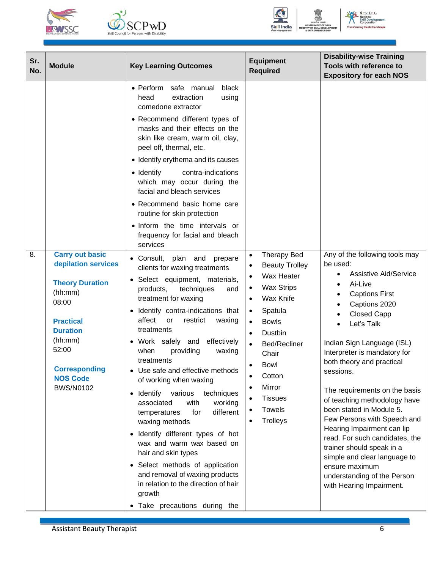





N.S.D.C.<br>National<br>Skill Developr<br>Corporation ent

| Sr.<br>No. | <b>Module</b>                                                                                                                                                                               | <b>Key Learning Outcomes</b>                                                                                                                                                                                                                                                                                                                                                                                                                                                                                                                                                                                                                                                                                                                                          | <b>Equipment</b><br><b>Required</b>                                                                                                                                                                                                                                                                  | <b>Disability-wise Training</b><br>Tools with reference to<br><b>Expository for each NOS</b>                                                                                                                                                                                                                                                                                                                                                                                                                                                                                    |
|------------|---------------------------------------------------------------------------------------------------------------------------------------------------------------------------------------------|-----------------------------------------------------------------------------------------------------------------------------------------------------------------------------------------------------------------------------------------------------------------------------------------------------------------------------------------------------------------------------------------------------------------------------------------------------------------------------------------------------------------------------------------------------------------------------------------------------------------------------------------------------------------------------------------------------------------------------------------------------------------------|------------------------------------------------------------------------------------------------------------------------------------------------------------------------------------------------------------------------------------------------------------------------------------------------------|---------------------------------------------------------------------------------------------------------------------------------------------------------------------------------------------------------------------------------------------------------------------------------------------------------------------------------------------------------------------------------------------------------------------------------------------------------------------------------------------------------------------------------------------------------------------------------|
| 8.         | <b>Carry out basic</b>                                                                                                                                                                      | · Perform safe manual<br>black<br>extraction<br>using<br>head<br>comedone extractor<br>• Recommend different types of<br>masks and their effects on the<br>skin like cream, warm oil, clay,<br>peel off, thermal, etc.<br>• Identify erythema and its causes<br>• Identify<br>contra-indications<br>which may occur during the<br>facial and bleach services<br>• Recommend basic home care<br>routine for skin protection<br>· Inform the time intervals or<br>frequency for facial and bleach<br>services<br>• Consult,<br>plan and<br>prepare                                                                                                                                                                                                                      | <b>Therapy Bed</b><br>$\bullet$                                                                                                                                                                                                                                                                      | Any of the following tools may                                                                                                                                                                                                                                                                                                                                                                                                                                                                                                                                                  |
|            | depilation services<br><b>Theory Duration</b><br>(hh:mm)<br>08:00<br><b>Practical</b><br><b>Duration</b><br>(hh:mm)<br>52:00<br><b>Corresponding</b><br><b>NOS Code</b><br><b>BWS/N0102</b> | clients for waxing treatments<br>• Select equipment, materials,<br>products,<br>techniques<br>and<br>treatment for waxing<br>Identify contra-indications that<br>affect<br>restrict<br>or<br>waxing<br>treatments<br>• Work safely and<br>effectively<br>when<br>providing<br>waxing<br>treatments<br>• Use safe and effective methods<br>of working when waxing<br>various<br>Identify<br>techniques<br>$\bullet$<br>associated<br>with<br>working<br>different<br>for<br>temperatures<br>waxing methods<br>Identify different types of hot<br>$\bullet$<br>wax and warm wax based on<br>hair and skin types<br>• Select methods of application<br>and removal of waxing products<br>in relation to the direction of hair<br>growth<br>• Take precautions during the | <b>Beauty Trolley</b><br>$\bullet$<br>Wax Heater<br><b>Wax Strips</b><br>$\bullet$<br>Wax Knife<br>$\bullet$<br>Spatula<br>$\bullet$<br><b>Bowls</b><br>Dustbin<br>$\bullet$<br>Bed/Recliner<br>Chair<br>Bowl<br>Cotton<br>$\bullet$<br>Mirror<br><b>Tissues</b><br><b>Towels</b><br><b>Trolleys</b> | be used:<br><b>Assistive Aid/Service</b><br>Ai-Live<br><b>Captions First</b><br>Captions 2020<br><b>Closed Capp</b><br>Let's Talk<br>Indian Sign Language (ISL)<br>Interpreter is mandatory for<br>both theory and practical<br>sessions.<br>The requirements on the basis<br>of teaching methodology have<br>been stated in Module 5.<br>Few Persons with Speech and<br>Hearing Impairment can lip<br>read. For such candidates, the<br>trainer should speak in a<br>simple and clear language to<br>ensure maximum<br>understanding of the Person<br>with Hearing Impairment. |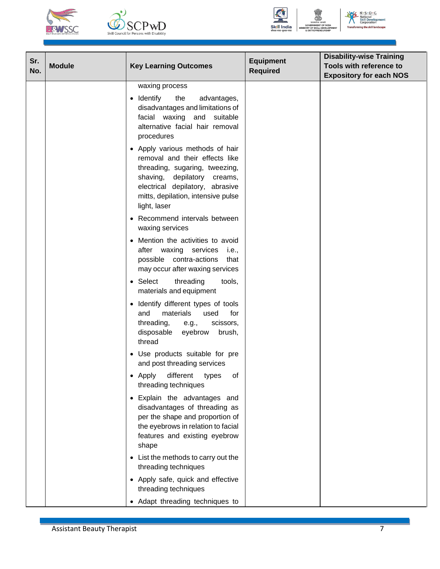





N.S.D.C.<br>National<br>Skill Developr<br>Corporation

| Sr.<br>No. | <b>Module</b> | <b>Key Learning Outcomes</b>                                                                                                                                                                                                | <b>Equipment</b><br><b>Required</b> | <b>Disability-wise Training</b><br>Tools with reference to<br><b>Expository for each NOS</b> |
|------------|---------------|-----------------------------------------------------------------------------------------------------------------------------------------------------------------------------------------------------------------------------|-------------------------------------|----------------------------------------------------------------------------------------------|
|            |               | waxing process                                                                                                                                                                                                              |                                     |                                                                                              |
|            |               | • Identify<br>the<br>advantages,<br>disadvantages and limitations of<br>facial waxing and suitable<br>alternative facial hair removal<br>procedures                                                                         |                                     |                                                                                              |
|            |               | • Apply various methods of hair<br>removal and their effects like<br>threading, sugaring, tweezing,<br>shaving, depilatory creams,<br>electrical depilatory, abrasive<br>mitts, depilation, intensive pulse<br>light, laser |                                     |                                                                                              |
|            |               | Recommend intervals between<br>waxing services                                                                                                                                                                              |                                     |                                                                                              |
|            |               | • Mention the activities to avoid<br>after waxing services i.e.,<br>possible contra-actions<br>that<br>may occur after waxing services                                                                                      |                                     |                                                                                              |
|            |               | • Select<br>threading<br>tools,<br>materials and equipment                                                                                                                                                                  |                                     |                                                                                              |
|            |               | Identify different types of tools<br>and<br>materials<br>used<br>for<br>threading,<br>scissors,<br>e.g.,<br>disposable<br>eyebrow<br>brush,<br>thread                                                                       |                                     |                                                                                              |
|            |               | Use products suitable for pre<br>and post threading services                                                                                                                                                                |                                     |                                                                                              |
|            |               | different<br>• Apply<br>οf<br>types<br>threading techniques                                                                                                                                                                 |                                     |                                                                                              |
|            |               | • Explain the advantages and<br>disadvantages of threading as<br>per the shape and proportion of<br>the eyebrows in relation to facial<br>features and existing eyebrow<br>shape                                            |                                     |                                                                                              |
|            |               | • List the methods to carry out the<br>threading techniques                                                                                                                                                                 |                                     |                                                                                              |
|            |               | • Apply safe, quick and effective<br>threading techniques                                                                                                                                                                   |                                     |                                                                                              |
|            |               | • Adapt threading techniques to                                                                                                                                                                                             |                                     |                                                                                              |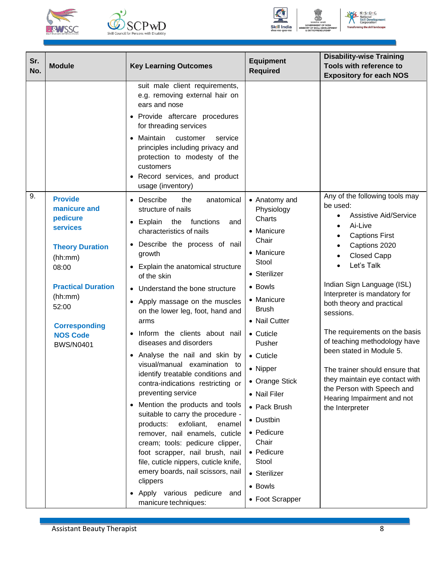





N.S.D.C.<br>National<br>Skill Developr<br>Corporation

| Sr.<br><b>Module</b><br>No.                                                                                                                                                                                                       | <b>Key Learning Outcomes</b>                                                                                                                                                                                                                                                                                                                                                                                                                                                                                                                                                                                                                                                                                                                                                                                                                                                                                         | <b>Equipment</b><br><b>Required</b>                                                                                                                                                                                                                                                                                                                                      | <b>Disability-wise Training</b><br>Tools with reference to<br><b>Expository for each NOS</b>                                                                                                                                                                                                                                                                                                                                                                                                                                |
|-----------------------------------------------------------------------------------------------------------------------------------------------------------------------------------------------------------------------------------|----------------------------------------------------------------------------------------------------------------------------------------------------------------------------------------------------------------------------------------------------------------------------------------------------------------------------------------------------------------------------------------------------------------------------------------------------------------------------------------------------------------------------------------------------------------------------------------------------------------------------------------------------------------------------------------------------------------------------------------------------------------------------------------------------------------------------------------------------------------------------------------------------------------------|--------------------------------------------------------------------------------------------------------------------------------------------------------------------------------------------------------------------------------------------------------------------------------------------------------------------------------------------------------------------------|-----------------------------------------------------------------------------------------------------------------------------------------------------------------------------------------------------------------------------------------------------------------------------------------------------------------------------------------------------------------------------------------------------------------------------------------------------------------------------------------------------------------------------|
|                                                                                                                                                                                                                                   | suit male client requirements,<br>e.g. removing external hair on<br>ears and nose<br>• Provide aftercare procedures<br>for threading services<br>Maintain<br>customer<br>service<br>principles including privacy and<br>protection to modesty of the<br>customers<br>Record services, and product<br>usage (inventory)                                                                                                                                                                                                                                                                                                                                                                                                                                                                                                                                                                                               |                                                                                                                                                                                                                                                                                                                                                                          |                                                                                                                                                                                                                                                                                                                                                                                                                                                                                                                             |
| 9.<br><b>Provide</b><br>manicure and<br>pedicure<br><b>services</b><br><b>Theory Duration</b><br>(hh:mm)<br>08:00<br><b>Practical Duration</b><br>(hh:mm)<br>52:00<br><b>Corresponding</b><br><b>NOS Code</b><br><b>BWS/N0401</b> | Describe<br>the<br>anatomical<br>structure of nails<br>• Explain the<br>functions<br>and<br>characteristics of nails<br>Describe the process of nail<br>growth<br>Explain the anatomical structure<br>of the skin<br>• Understand the bone structure<br>Apply massage on the muscles<br>on the lower leg, foot, hand and<br>arms<br>Inform the clients about nail<br>diseases and disorders<br>Analyse the nail and skin by<br>visual/manual examination to<br>identify treatable conditions and<br>contra-indications restricting or<br>preventing service<br>Mention the products and tools<br>suitable to carry the procedure -<br>exfoliant,<br>products:<br>enamel<br>remover, nail enamels, cuticle<br>cream; tools: pedicure clipper,<br>foot scrapper, nail brush, nail<br>file, cuticle nippers, cuticle knife,<br>emery boards, nail scissors, nail<br>clippers<br>Apply various pedicure and<br>$\bullet$ | • Anatomy and<br>Physiology<br>Charts<br>• Manicure<br>Chair<br>• Manicure<br>Stool<br>• Sterilizer<br>• Bowls<br>• Manicure<br><b>Brush</b><br>• Nail Cutter<br>• Cuticle<br>Pusher<br>• Cuticle<br>• Nipper<br>• Orange Stick<br>• Nail Filer<br>• Pack Brush<br>• Dustbin<br>• Pedicure<br>Chair<br>• Pedicure<br>Stool<br>• Sterilizer<br>• Bowls<br>• Foot Scrapper | Any of the following tools may<br>be used:<br><b>Assistive Aid/Service</b><br>Ai-Live<br><b>Captions First</b><br>Captions 2020<br><b>Closed Capp</b><br>Let's Talk<br>Indian Sign Language (ISL)<br>Interpreter is mandatory for<br>both theory and practical<br>sessions.<br>The requirements on the basis<br>of teaching methodology have<br>been stated in Module 5.<br>The trainer should ensure that<br>they maintain eye contact with<br>the Person with Speech and<br>Hearing Impairment and not<br>the Interpreter |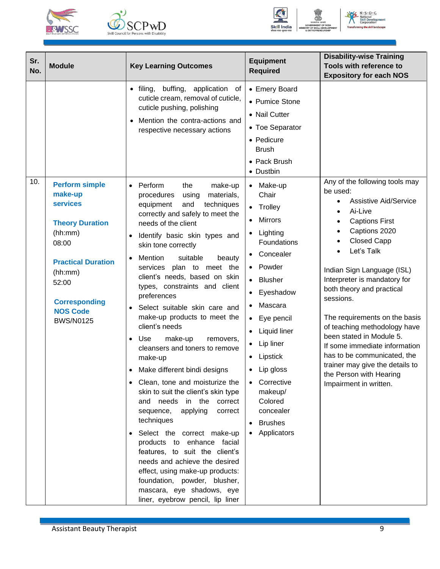





N.S.D.C.<br>National<br>Skill Developr<br>Corporation ent

| Sr.<br>No. | <b>Module</b>                                                                                                                                                                            | <b>Key Learning Outcomes</b>                                                                                                                                                                                                                                                                                                                                                                                                                                                                                                                                                                                                                                                                                                                                                                                                                                                                                                                                                                                          | <b>Equipment</b><br><b>Required</b>                                                                                                                                                                                                                                                               | <b>Disability-wise Training</b><br>Tools with reference to<br><b>Expository for each NOS</b>                                                                                                                                                                                                                                                                                                                                                                                                                                                       |
|------------|------------------------------------------------------------------------------------------------------------------------------------------------------------------------------------------|-----------------------------------------------------------------------------------------------------------------------------------------------------------------------------------------------------------------------------------------------------------------------------------------------------------------------------------------------------------------------------------------------------------------------------------------------------------------------------------------------------------------------------------------------------------------------------------------------------------------------------------------------------------------------------------------------------------------------------------------------------------------------------------------------------------------------------------------------------------------------------------------------------------------------------------------------------------------------------------------------------------------------|---------------------------------------------------------------------------------------------------------------------------------------------------------------------------------------------------------------------------------------------------------------------------------------------------|----------------------------------------------------------------------------------------------------------------------------------------------------------------------------------------------------------------------------------------------------------------------------------------------------------------------------------------------------------------------------------------------------------------------------------------------------------------------------------------------------------------------------------------------------|
| 10.        | <b>Perform simple</b>                                                                                                                                                                    | filing, buffing, application<br>of<br>$\bullet$<br>cuticle cream, removal of cuticle,<br>cuticle pushing, polishing<br>Mention the contra-actions and<br>respective necessary actions<br>Perform<br>the<br>make-up<br>$\bullet$                                                                                                                                                                                                                                                                                                                                                                                                                                                                                                                                                                                                                                                                                                                                                                                       | • Emery Board<br>• Pumice Stone<br>• Nail Cutter<br>• Toe Separator<br>• Pedicure<br><b>Brush</b><br>• Pack Brush<br>• Dustbin<br>• Make-up                                                                                                                                                       | Any of the following tools may                                                                                                                                                                                                                                                                                                                                                                                                                                                                                                                     |
|            | make-up<br><b>services</b><br><b>Theory Duration</b><br>(hh:mm)<br>08:00<br><b>Practical Duration</b><br>(hh:mm)<br>52:00<br><b>Corresponding</b><br><b>NOS Code</b><br><b>BWS/N0125</b> | materials,<br>procedures<br>using<br>equipment<br>techniques<br>and<br>correctly and safely to meet the<br>needs of the client<br>Identify basic skin types and<br>skin tone correctly<br>Mention<br>suitable<br>beauty<br>$\bullet$<br>services plan to meet the<br>client's needs, based on skin<br>types, constraints and client<br>preferences<br>Select suitable skin care and<br>$\bullet$<br>make-up products to meet the<br>client's needs<br>make-up<br>Use<br>$\bullet$<br>removers,<br>cleansers and toners to remove<br>make-up<br>Make different bindi designs<br>Clean, tone and moisturize the<br>skin to suit the client's skin type<br>and needs in the<br>correct<br>sequence,<br>applying<br>correct<br>techniques<br>Select the correct make-up<br>$\bullet$<br>products to enhance facial<br>features, to suit the client's<br>needs and achieve the desired<br>effect, using make-up products:<br>foundation, powder, blusher,<br>mascara, eye shadows, eye<br>liner, eyebrow pencil, lip liner | Chair<br>• Trolley<br><b>Mirrors</b><br>Lighting<br>Foundations<br>• Concealer<br>• Powder<br>• Blusher<br>• Eyeshadow<br>Mascara<br>• Eye pencil<br>• Liquid liner<br>• Lip liner<br>• Lipstick<br>• Lip gloss<br>Corrective<br>makeup/<br>Colored<br>concealer<br><b>Brushes</b><br>Applicators | be used:<br><b>Assistive Aid/Service</b><br>$\bullet$<br>Ai-Live<br>$\bullet$<br><b>Captions First</b><br>$\bullet$<br>Captions 2020<br>$\bullet$<br><b>Closed Capp</b><br>Let's Talk<br>Indian Sign Language (ISL)<br>Interpreter is mandatory for<br>both theory and practical<br>sessions.<br>The requirements on the basis<br>of teaching methodology have<br>been stated in Module 5.<br>If some immediate information<br>has to be communicated, the<br>trainer may give the details to<br>the Person with Hearing<br>Impairment in written. |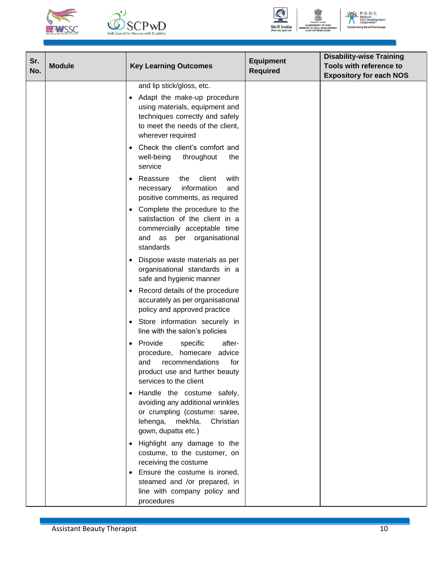





No Solutional<br>
Skill Developre ent

| Sr.<br>No. | <b>Module</b> | <b>Key Learning Outcomes</b>                                                                                                                                           | <b>Equipment</b><br><b>Required</b> | <b>Disability-wise Training</b><br>Tools with reference to<br><b>Expository for each NOS</b> |
|------------|---------------|------------------------------------------------------------------------------------------------------------------------------------------------------------------------|-------------------------------------|----------------------------------------------------------------------------------------------|
|            |               | and lip stick/gloss, etc.                                                                                                                                              |                                     |                                                                                              |
|            |               | Adapt the make-up procedure<br>$\bullet$<br>using materials, equipment and<br>techniques correctly and safely<br>to meet the needs of the client,<br>wherever required |                                     |                                                                                              |
|            |               | Check the client's comfort and<br>$\bullet$<br>well-being<br>throughout<br>the<br>service                                                                              |                                     |                                                                                              |
|            |               | Reassure<br>client<br>with<br>the<br>$\bullet$<br>information<br>and<br>necessary<br>positive comments, as required                                                    |                                     |                                                                                              |
|            |               | Complete the procedure to the<br>$\bullet$<br>satisfaction of the client in a<br>commercially acceptable time<br>and as per organisational<br>standards                |                                     |                                                                                              |
|            |               | Dispose waste materials as per<br>organisational standards in a<br>safe and hygienic manner                                                                            |                                     |                                                                                              |
|            |               | Record details of the procedure<br>$\bullet$<br>accurately as per organisational<br>policy and approved practice                                                       |                                     |                                                                                              |
|            |               | Store information securely in<br>line with the salon's policies                                                                                                        |                                     |                                                                                              |
|            |               | Provide<br>specific<br>after-<br>$\bullet$<br>procedure, homecare advice<br>recommendations<br>for<br>and<br>product use and further beauty<br>services to the client  |                                     |                                                                                              |
|            |               | Handle the costume safely,<br>$\bullet$<br>avoiding any additional wrinkles<br>or crumpling (costume: saree,<br>lehenga, mekhla,<br>Christian<br>gown, dupatta etc.)   |                                     |                                                                                              |
|            |               | Highlight any damage to the<br>$\bullet$<br>costume, to the customer, on<br>receiving the costume                                                                      |                                     |                                                                                              |
|            |               | Ensure the costume is ironed,<br>steamed and /or prepared, in<br>line with company policy and<br>procedures                                                            |                                     |                                                                                              |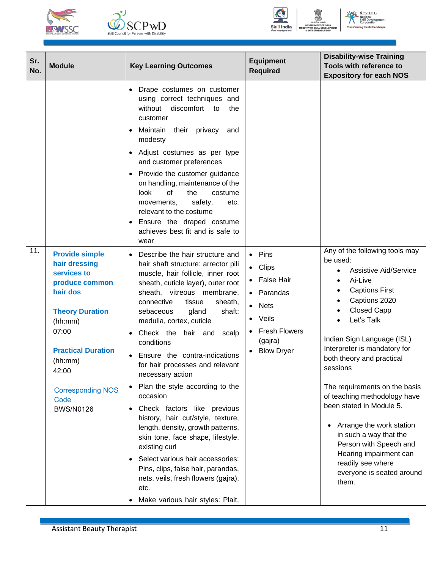





NE N.S.D.C **National<br>Skill Devertion** ent

| Sr.<br>No. | <b>Module</b>                                                                                                                                                                                                                              | <b>Key Learning Outcomes</b>                                                                                                                                                                                                                                                                                                                                                                                                                                                                                                                                                                                                                                                                                                                                                                                                          | <b>Equipment</b><br><b>Required</b>                                                                                                                | <b>Disability-wise Training</b><br>Tools with reference to<br><b>Expository for each NOS</b>                                                                                                                                                                                                                                                                                                                                                                                                                                                                                        |
|------------|--------------------------------------------------------------------------------------------------------------------------------------------------------------------------------------------------------------------------------------------|---------------------------------------------------------------------------------------------------------------------------------------------------------------------------------------------------------------------------------------------------------------------------------------------------------------------------------------------------------------------------------------------------------------------------------------------------------------------------------------------------------------------------------------------------------------------------------------------------------------------------------------------------------------------------------------------------------------------------------------------------------------------------------------------------------------------------------------|----------------------------------------------------------------------------------------------------------------------------------------------------|-------------------------------------------------------------------------------------------------------------------------------------------------------------------------------------------------------------------------------------------------------------------------------------------------------------------------------------------------------------------------------------------------------------------------------------------------------------------------------------------------------------------------------------------------------------------------------------|
|            |                                                                                                                                                                                                                                            | Drape costumes on customer<br>using correct techniques and<br>without discomfort to<br>the<br>customer<br>Maintain<br>their privacy<br>and<br>modesty<br>Adjust costumes as per type<br>$\bullet$<br>and customer preferences<br>Provide the customer guidance<br>on handling, maintenance of the<br>of<br>look<br>the<br>costume<br>movements,<br>safety,<br>etc.<br>relevant to the costume<br>Ensure the draped costume<br>$\bullet$<br>achieves best fit and is safe to<br>wear                                                                                                                                                                                                                                                                                                                                                   |                                                                                                                                                    |                                                                                                                                                                                                                                                                                                                                                                                                                                                                                                                                                                                     |
| 11.        | <b>Provide simple</b><br>hair dressing<br>services to<br>produce common<br>hair dos<br><b>Theory Duration</b><br>(hh:mm)<br>07:00<br><b>Practical Duration</b><br>(hh:mm)<br>42:00<br><b>Corresponding NOS</b><br>Code<br><b>BWS/N0126</b> | Describe the hair structure and<br>hair shaft structure: arrector pili<br>muscle, hair follicle, inner root<br>sheath, cuticle layer), outer root<br>sheath, vitreous membrane,<br>connective<br>tissue<br>sheath,<br>gland<br>shaft:<br>sebaceous<br>medulla, cortex, cuticle<br>Check the hair and<br>scalp<br>$\bullet$<br>conditions<br>Ensure the contra-indications<br>for hair processes and relevant<br>necessary action<br>Plan the style according to the<br>occasion<br>Check factors like previous<br>$\bullet$<br>history, hair cut/style, texture,<br>length, density, growth patterns,<br>skin tone, face shape, lifestyle,<br>existing curl<br>Select various hair accessories:<br>$\bullet$<br>Pins, clips, false hair, parandas,<br>nets, veils, fresh flowers (gajra),<br>etc.<br>Make various hair styles: Plait, | $\bullet$ Pins<br>$\bullet$ Clips<br>False Hair<br>• Parandas<br>$\bullet$ Nets<br>• Veils<br><b>Fresh Flowers</b><br>(gajra)<br><b>Blow Dryer</b> | Any of the following tools may<br>be used:<br><b>Assistive Aid/Service</b><br>$\bullet$<br>Ai-Live<br>$\bullet$<br><b>Captions First</b><br>Captions 2020<br><b>Closed Capp</b><br>Let's Talk<br>Indian Sign Language (ISL)<br>Interpreter is mandatory for<br>both theory and practical<br>sessions<br>The requirements on the basis<br>of teaching methodology have<br>been stated in Module 5.<br>Arrange the work station<br>$\bullet$<br>in such a way that the<br>Person with Speech and<br>Hearing impairment can<br>readily see where<br>everyone is seated around<br>them. |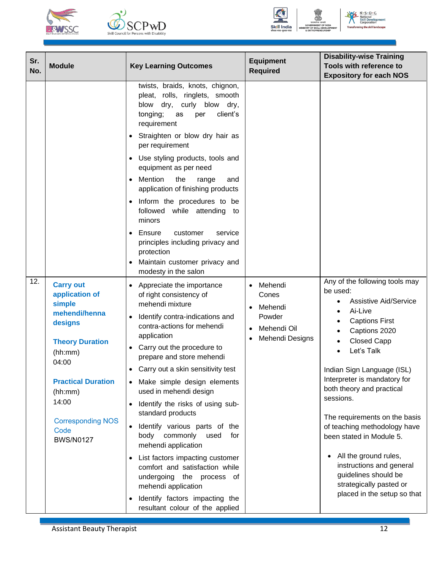





NE N.S.D.C **National<br>Skill Develo<br>Corporation** 

| Sr.<br>No. | <b>Module</b>                                                                                                                                                                                                                   | <b>Key Learning Outcomes</b>                                                                                                                                                                                                                                                                                                                                                                                                                                                                                                                                                                                                                                                                                                                    | <b>Equipment</b><br><b>Required</b>                                     | <b>Disability-wise Training</b><br>Tools with reference to<br><b>Expository for each NOS</b>                                                                                                                                                                                                                                                                                                                                                                                                                                      |
|------------|---------------------------------------------------------------------------------------------------------------------------------------------------------------------------------------------------------------------------------|-------------------------------------------------------------------------------------------------------------------------------------------------------------------------------------------------------------------------------------------------------------------------------------------------------------------------------------------------------------------------------------------------------------------------------------------------------------------------------------------------------------------------------------------------------------------------------------------------------------------------------------------------------------------------------------------------------------------------------------------------|-------------------------------------------------------------------------|-----------------------------------------------------------------------------------------------------------------------------------------------------------------------------------------------------------------------------------------------------------------------------------------------------------------------------------------------------------------------------------------------------------------------------------------------------------------------------------------------------------------------------------|
|            |                                                                                                                                                                                                                                 | twists, braids, knots, chignon,<br>pleat, rolls, ringlets, smooth<br>dry, curly blow dry,<br>blow<br>client's<br>tonging;<br>as<br>per<br>requirement<br>Straighten or blow dry hair as<br>٠<br>per requirement<br>Use styling products, tools and<br>$\bullet$<br>equipment as per need<br>Mention<br>the<br>range<br>and<br>$\bullet$<br>application of finishing products<br>Inform the procedures to be<br>$\bullet$<br>followed while attending to<br>minors<br>Ensure<br>customer<br>service<br>$\bullet$<br>principles including privacy and<br>protection<br>Maintain customer privacy and<br>modesty in the salon                                                                                                                      |                                                                         |                                                                                                                                                                                                                                                                                                                                                                                                                                                                                                                                   |
| 12.        | <b>Carry out</b><br>application of<br>simple<br>mehendi/henna<br>designs<br><b>Theory Duration</b><br>(hh:mm)<br>04:00<br><b>Practical Duration</b><br>(hh:mm)<br>14:00<br><b>Corresponding NOS</b><br>Code<br><b>BWS/N0127</b> | Appreciate the importance<br>of right consistency of<br>mehendi mixture<br>Identify contra-indications and<br>$\bullet$<br>contra-actions for mehendi<br>application<br>Carry out the procedure to<br>$\bullet$<br>prepare and store mehendi<br>Carry out a skin sensitivity test<br>$\bullet$<br>• Make simple design elements<br>used in mehendi design<br>Identify the risks of using sub-<br>$\bullet$<br>standard products<br>Identify various parts of the<br>body commonly<br>used<br>for<br>mehendi application<br>List factors impacting customer<br>$\bullet$<br>comfort and satisfaction while<br>undergoing the process of<br>mehendi application<br>Identify factors impacting the<br>$\bullet$<br>resultant colour of the applied | Mehendi<br>Cones<br>Mehendi<br>Powder<br>Mehendi Oil<br>Mehendi Designs | Any of the following tools may<br>be used:<br><b>Assistive Aid/Service</b><br>$\bullet$<br>Ai-Live<br>٠<br><b>Captions First</b><br>Captions 2020<br><b>Closed Capp</b><br>Let's Talk<br>Indian Sign Language (ISL)<br>Interpreter is mandatory for<br>both theory and practical<br>sessions.<br>The requirements on the basis<br>of teaching methodology have<br>been stated in Module 5.<br>All the ground rules,<br>instructions and general<br>guidelines should be<br>strategically pasted or<br>placed in the setup so that |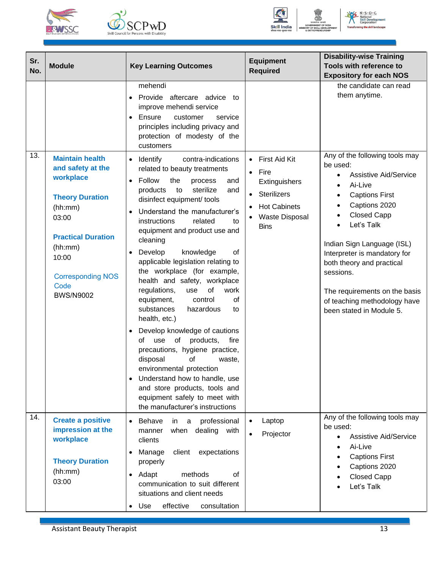





NE N.S.D.C **National<br>Skill Devertion** ent

| Sr.<br>No. | <b>Module</b>                                                                                                                                       | <b>Key Learning Outcomes</b>                                                                                                                                                                                                                                                                                                                                                                                                                                                                                                                                                                                                                                                                                                                                             | <b>Equipment</b><br><b>Required</b>                                               | <b>Disability-wise Training</b><br>Tools with reference to<br><b>Expository for each NOS</b>                                                                                                                                                                                                                              |
|------------|-----------------------------------------------------------------------------------------------------------------------------------------------------|--------------------------------------------------------------------------------------------------------------------------------------------------------------------------------------------------------------------------------------------------------------------------------------------------------------------------------------------------------------------------------------------------------------------------------------------------------------------------------------------------------------------------------------------------------------------------------------------------------------------------------------------------------------------------------------------------------------------------------------------------------------------------|-----------------------------------------------------------------------------------|---------------------------------------------------------------------------------------------------------------------------------------------------------------------------------------------------------------------------------------------------------------------------------------------------------------------------|
| 13.        | <b>Maintain health</b><br>and safety at the<br>workplace                                                                                            | mehendi<br>Provide aftercare advice to<br>improve mehendi service<br>Ensure<br>customer<br>service<br>principles including privacy and<br>protection of modesty of the<br>customers<br>Identify<br>contra-indications<br>$\bullet$<br>related to beauty treatments<br>Follow<br>the<br>process<br>and<br>$\bullet$                                                                                                                                                                                                                                                                                                                                                                                                                                                       | First Aid Kit<br>Fire<br>$\bullet$<br>Extinguishers                               | the candidate can read<br>them anytime.<br>Any of the following tools may<br>be used:<br><b>Assistive Aid/Service</b><br>$\bullet$                                                                                                                                                                                        |
|            | <b>Theory Duration</b><br>(hh:mm)<br>03:00<br><b>Practical Duration</b><br>(hh:mm)<br>10:00<br><b>Corresponding NOS</b><br>Code<br><b>BWS/N9002</b> | sterilize<br>products<br>to<br>and<br>disinfect equipment/ tools<br>Understand the manufacturer's<br>instructions<br>related<br>to<br>equipment and product use and<br>cleaning<br>knowledge<br>Develop<br>of<br>$\bullet$<br>applicable legislation relating to<br>the workplace (for example,<br>health and safety, workplace<br>of<br>regulations,<br>work<br>use<br>of<br>equipment,<br>control<br>substances<br>hazardous<br>to<br>health, etc.)<br>Develop knowledge of cautions<br>$\bullet$<br>use of<br>of<br>products,<br>fire<br>precautions, hygiene practice,<br>disposal<br>οf<br>waste,<br>environmental protection<br>Understand how to handle, use<br>and store products, tools and<br>equipment safely to meet with<br>the manufacturer's instructions | <b>Sterilizers</b><br><b>Hot Cabinets</b><br><b>Waste Disposal</b><br><b>Bins</b> | Ai-Live<br>$\bullet$<br><b>Captions First</b><br>٠<br>Captions 2020<br>$\bullet$<br><b>Closed Capp</b><br>Let's Talk<br>Indian Sign Language (ISL)<br>Interpreter is mandatory for<br>both theory and practical<br>sessions.<br>The requirements on the basis<br>of teaching methodology have<br>been stated in Module 5. |
| 14.        | <b>Create a positive</b><br>impression at the<br>workplace<br><b>Theory Duration</b><br>(hh:mm)<br>03:00                                            | Behave<br>in a professional<br>when dealing with<br>manner<br>clients<br>Manage<br>client<br>expectations<br>properly<br>$\bullet$ Adapt<br>methods<br>0f<br>communication to suit different<br>situations and client needs<br>effective<br>Use<br>consultation<br>$\bullet$                                                                                                                                                                                                                                                                                                                                                                                                                                                                                             | Laptop<br>Projector                                                               | Any of the following tools may<br>be used:<br><b>Assistive Aid/Service</b><br>Ai-Live<br><b>Captions First</b><br>Captions 2020<br><b>Closed Capp</b><br>Let's Talk                                                                                                                                                       |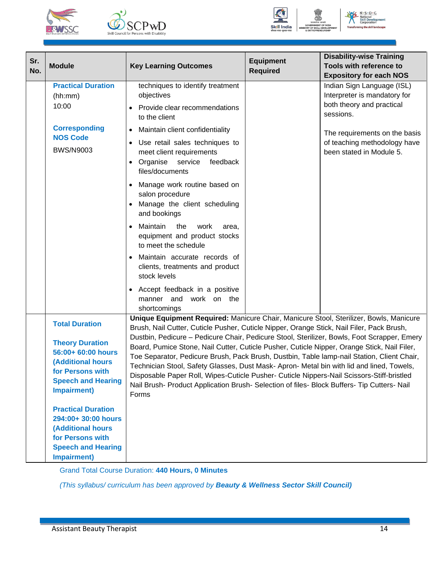





 $N \cdot S \cdot D \cdot C$ 

| Sr.<br>No. | <b>Module</b>                                                                                                                                                                                         | <b>Key Learning Outcomes</b>                                                                                                                                                                                                                                                                                                                                                                                                                                                                                                                                                                                                                                                                                                                                                     | <b>Equipment</b><br><b>Required</b> | <b>Disability-wise Training</b><br>Tools with reference to<br><b>Expository for each NOS</b>                                                                                                      |
|------------|-------------------------------------------------------------------------------------------------------------------------------------------------------------------------------------------------------|----------------------------------------------------------------------------------------------------------------------------------------------------------------------------------------------------------------------------------------------------------------------------------------------------------------------------------------------------------------------------------------------------------------------------------------------------------------------------------------------------------------------------------------------------------------------------------------------------------------------------------------------------------------------------------------------------------------------------------------------------------------------------------|-------------------------------------|---------------------------------------------------------------------------------------------------------------------------------------------------------------------------------------------------|
|            | <b>Practical Duration</b><br>(hh:mm)<br>10:00<br><b>Corresponding</b><br><b>NOS Code</b><br><b>BWS/N9003</b>                                                                                          | techniques to identify treatment<br>objectives<br>Provide clear recommendations<br>to the client<br>Maintain client confidentiality<br>$\bullet$<br>Use retail sales techniques to<br>$\bullet$<br>meet client requirements<br>Organise<br>service<br>feedback<br>$\bullet$<br>files/documents<br>Manage work routine based on<br>salon procedure                                                                                                                                                                                                                                                                                                                                                                                                                                |                                     | Indian Sign Language (ISL)<br>Interpreter is mandatory for<br>both theory and practical<br>sessions.<br>The requirements on the basis<br>of teaching methodology have<br>been stated in Module 5. |
|            |                                                                                                                                                                                                       | Manage the client scheduling<br>and bookings<br>Maintain<br>the<br>work<br>area.<br>equipment and product stocks<br>to meet the schedule<br>Maintain accurate records of<br>clients, treatments and product<br>stock levels<br>Accept feedback in a positive<br>$\bullet$<br>manner and<br>work on the<br>shortcomings                                                                                                                                                                                                                                                                                                                                                                                                                                                           |                                     |                                                                                                                                                                                                   |
|            | <b>Total Duration</b><br><b>Theory Duration</b><br>56:00+ 60:00 hours<br><b>(Additional hours</b><br>for Persons with<br><b>Speech and Hearing</b><br><b>Impairment)</b><br><b>Practical Duration</b> | Unique Equipment Required: Manicure Chair, Manicure Stool, Sterilizer, Bowls, Manicure<br>Brush, Nail Cutter, Cuticle Pusher, Cuticle Nipper, Orange Stick, Nail Filer, Pack Brush,<br>Dustbin, Pedicure - Pedicure Chair, Pedicure Stool, Sterilizer, Bowls, Foot Scrapper, Emery<br>Board, Pumice Stone, Nail Cutter, Cuticle Pusher, Cuticle Nipper, Orange Stick, Nail Filer,<br>Toe Separator, Pedicure Brush, Pack Brush, Dustbin, Table lamp-nail Station, Client Chair,<br>Technician Stool, Safety Glasses, Dust Mask-Apron- Metal bin with lid and lined, Towels,<br>Disposable Paper Roll, Wipes-Cuticle Pusher- Cuticle Nippers-Nail Scissors-Stiff-bristled<br>Nail Brush- Product Application Brush- Selection of files- Block Buffers- Tip Cutters- Nail<br>Forms |                                     |                                                                                                                                                                                                   |
|            | 294:00+ 30:00 hours<br><b>(Additional hours</b><br>for Persons with<br><b>Speech and Hearing</b><br>Impairment)                                                                                       |                                                                                                                                                                                                                                                                                                                                                                                                                                                                                                                                                                                                                                                                                                                                                                                  |                                     |                                                                                                                                                                                                   |

Grand Total Course Duration: **440 Hours, 0 Minutes**

*(This syllabus/ curriculum has been approved by Beauty & Wellness Sector Skill Council)*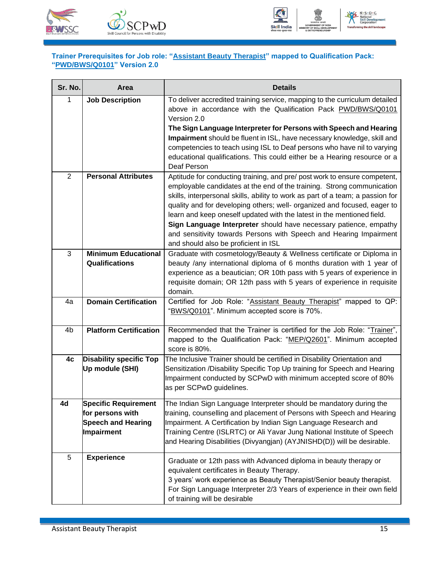



#### <span id="page-17-1"></span><span id="page-17-0"></span>**Trainer Prerequisites for Job role: "Assistant Beauty Therapist" mapped to Qualification Pack: "PWD/BWS/Q0101" Version 2.0**

| Sr. No.        | Area                           | <b>Details</b>                                                                                                                                             |
|----------------|--------------------------------|------------------------------------------------------------------------------------------------------------------------------------------------------------|
| 1              | <b>Job Description</b>         | To deliver accredited training service, mapping to the curriculum detailed<br>above in accordance with the Qualification Pack PWD/BWS/Q0101<br>Version 2.0 |
|                |                                | The Sign Language Interpreter for Persons with Speech and Hearing                                                                                          |
|                |                                | Impairment should be fluent in ISL, have necessary knowledge, skill and                                                                                    |
|                |                                | competencies to teach using ISL to Deaf persons who have nil to varying                                                                                    |
|                |                                | educational qualifications. This could either be a Hearing resource or a<br>Deaf Person                                                                    |
| $\overline{2}$ | <b>Personal Attributes</b>     | Aptitude for conducting training, and pre/ post work to ensure competent,                                                                                  |
|                |                                | employable candidates at the end of the training. Strong communication                                                                                     |
|                |                                | skills, interpersonal skills, ability to work as part of a team; a passion for<br>quality and for developing others; well- organized and focused, eager to |
|                |                                | learn and keep oneself updated with the latest in the mentioned field.                                                                                     |
|                |                                | Sign Language Interpreter should have necessary patience, empathy                                                                                          |
|                |                                | and sensitivity towards Persons with Speech and Hearing Impairment                                                                                         |
|                |                                | and should also be proficient in ISL                                                                                                                       |
| 3              | <b>Minimum Educational</b>     | Graduate with cosmetology/Beauty & Wellness certificate or Diploma in                                                                                      |
|                | <b>Qualifications</b>          | beauty /any international diploma of 6 months duration with 1 year of                                                                                      |
|                |                                | experience as a beautician; OR 10th pass with 5 years of experience in<br>requisite domain; OR 12th pass with 5 years of experience in requisite           |
|                |                                | domain.                                                                                                                                                    |
| 4a             | <b>Domain Certification</b>    | Certified for Job Role: "Assistant Beauty Therapist" mapped to QP:                                                                                         |
|                |                                | "BWS/Q0101". Minimum accepted score is 70%.                                                                                                                |
|                |                                |                                                                                                                                                            |
| 4 <sub>b</sub> | <b>Platform Certification</b>  | Recommended that the Trainer is certified for the Job Role: "Trainer",                                                                                     |
|                |                                | mapped to the Qualification Pack: "MEP/Q2601". Minimum accepted<br>score is 80%.                                                                           |
| 4c             | <b>Disability specific Top</b> | The Inclusive Trainer should be certified in Disability Orientation and                                                                                    |
|                | Up module (SHI)                | Sensitization /Disability Specific Top Up training for Speech and Hearing                                                                                  |
|                |                                | Impairment conducted by SCPwD with minimum accepted score of 80%                                                                                           |
|                |                                | as per SCPwD guidelines.                                                                                                                                   |
| 4d             | <b>Specific Requirement</b>    | The Indian Sign Language Interpreter should be mandatory during the                                                                                        |
|                | for persons with               | training, counselling and placement of Persons with Speech and Hearing                                                                                     |
|                | <b>Speech and Hearing</b>      | Impairment. A Certification by Indian Sign Language Research and                                                                                           |
|                | Impairment                     | Training Centre (ISLRTC) or Ali Yavar Jung National Institute of Speech                                                                                    |
|                |                                | and Hearing Disabilities (Divyangjan) (AYJNISHD(D)) will be desirable.                                                                                     |
| 5              | <b>Experience</b>              | Graduate or 12th pass with Advanced diploma in beauty therapy or                                                                                           |
|                |                                | equivalent certificates in Beauty Therapy.                                                                                                                 |
|                |                                | 3 years' work experience as Beauty Therapist/Senior beauty therapist.                                                                                      |
|                |                                | For Sign Language Interpreter 2/3 Years of experience in their own field                                                                                   |
|                |                                | of training will be desirable                                                                                                                              |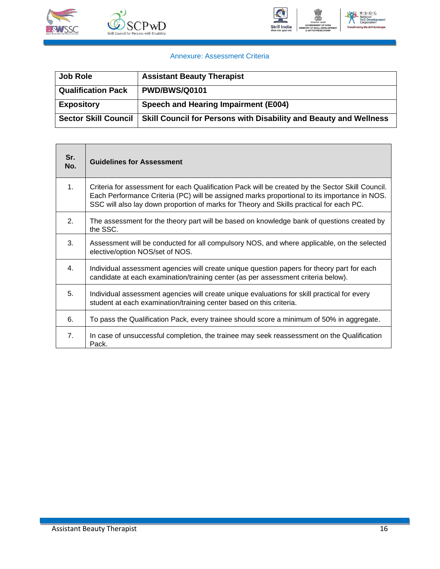



#### Annexure: Assessment Criteria

| <b>Job Role</b>             | <b>Assistant Beauty Therapist</b>                                 |
|-----------------------------|-------------------------------------------------------------------|
| <b>Qualification Pack</b>   | <b>PWD/BWS/Q0101</b>                                              |
| <b>Expository</b>           | Speech and Hearing Impairment (E004)                              |
| <b>Sector Skill Council</b> | Skill Council for Persons with Disability and Beauty and Wellness |

| Sr.<br>No. | <b>Guidelines for Assessment</b>                                                                                                                                                                                                                                                            |
|------------|---------------------------------------------------------------------------------------------------------------------------------------------------------------------------------------------------------------------------------------------------------------------------------------------|
| 1.         | Criteria for assessment for each Qualification Pack will be created by the Sector Skill Council.<br>Each Performance Criteria (PC) will be assigned marks proportional to its importance in NOS.<br>SSC will also lay down proportion of marks for Theory and Skills practical for each PC. |
| 2.         | The assessment for the theory part will be based on knowledge bank of questions created by<br>the SSC.                                                                                                                                                                                      |
| 3.         | Assessment will be conducted for all compulsory NOS, and where applicable, on the selected<br>elective/option NOS/set of NOS.                                                                                                                                                               |
| 4.         | Individual assessment agencies will create unique question papers for theory part for each<br>candidate at each examination/training center (as per assessment criteria below).                                                                                                             |
| 5.         | Individual assessment agencies will create unique evaluations for skill practical for every<br>student at each examination/training center based on this criteria.                                                                                                                          |
| 6.         | To pass the Qualification Pack, every trainee should score a minimum of 50% in aggregate.                                                                                                                                                                                                   |
| 7.         | In case of unsuccessful completion, the trainee may seek reassessment on the Qualification<br>Pack.                                                                                                                                                                                         |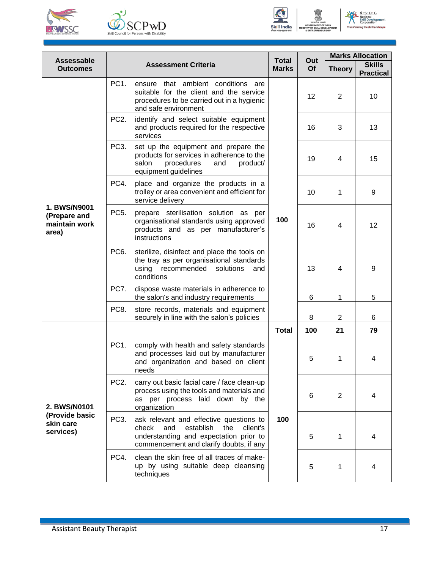





No Solutional<br>
Skill Developre ent

| <b>Assessable</b>                                      |                   |                                                                                                                                                                              | <b>Total</b> | Out<br>Of | <b>Marks Allocation</b> |                                   |  |
|--------------------------------------------------------|-------------------|------------------------------------------------------------------------------------------------------------------------------------------------------------------------------|--------------|-----------|-------------------------|-----------------------------------|--|
| <b>Outcomes</b>                                        |                   | <b>Assessment Criteria</b>                                                                                                                                                   | <b>Marks</b> |           | <b>Theory</b>           | <b>Skills</b><br><b>Practical</b> |  |
|                                                        | PC <sub>1</sub>   | ensure that ambient conditions are<br>suitable for the client and the service<br>procedures to be carried out in a hygienic<br>and safe environment                          |              | 12        | 2                       | 10                                |  |
|                                                        | PC <sub>2</sub> . | identify and select suitable equipment<br>and products required for the respective<br>services                                                                               |              | 16        | 3                       | 13                                |  |
|                                                        | PC <sub>3</sub> . | set up the equipment and prepare the<br>products for services in adherence to the<br>salon<br>procedures<br>and<br>product/<br>equipment guidelines                          |              | 19        | 4                       | 15                                |  |
|                                                        | PC4.              | place and organize the products in a<br>trolley or area convenient and efficient for<br>service delivery                                                                     |              | 10        | 1                       | 9                                 |  |
| 1. BWS/N9001<br>(Prepare and<br>maintain work<br>area) | PC <sub>5</sub> . | prepare sterilisation solution as per<br>organisational standards using approved<br>products and as per manufacturer's<br>instructions                                       | 100          | 16        | 4                       | 12                                |  |
|                                                        | PC <sub>6</sub> . | sterilize, disinfect and place the tools on<br>the tray as per organisational standards<br>using<br>recommended solutions<br>and<br>conditions                               |              | 13        | 4                       | 9                                 |  |
|                                                        | PC7.              | dispose waste materials in adherence to<br>the salon's and industry requirements                                                                                             |              | 6         | 1                       | 5                                 |  |
|                                                        | PC8.              | store records, materials and equipment<br>securely in line with the salon's policies                                                                                         |              | 8         | $\overline{2}$          | 6                                 |  |
|                                                        |                   |                                                                                                                                                                              | <b>Total</b> | 100       | 21                      | 79                                |  |
|                                                        | PC1.              | comply with health and safety standards<br>and processes laid out by manufacturer<br>and organization and based on client<br>needs                                           |              | 5         | 1                       | 4                                 |  |
| 2. BWS/N0101                                           | PC <sub>2</sub> . | carry out basic facial care / face clean-up<br>process using the tools and materials and<br>as per process laid down by the<br>organization                                  |              | 6         | $\overline{2}$          | 4                                 |  |
| (Provide basic<br>skin care<br>services)               | PC <sub>3</sub> . | ask relevant and effective questions to<br>check<br>and<br>establish<br>the<br>client's<br>understanding and expectation prior to<br>commencement and clarify doubts, if any | 100          | 5         | 1                       | 4                                 |  |
|                                                        | PC4.              | clean the skin free of all traces of make-<br>up by using suitable deep cleansing<br>techniques                                                                              |              | 5         | 1                       | 4                                 |  |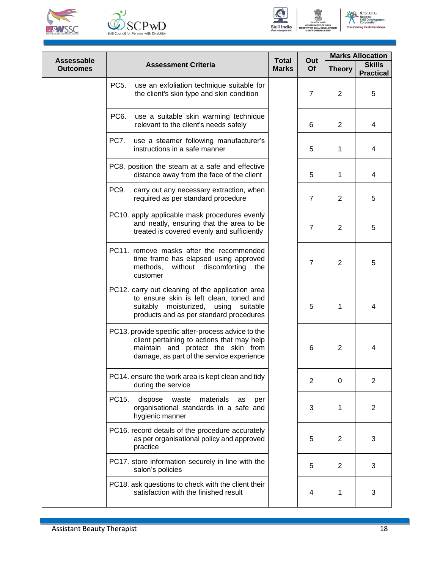





**Assessable Outcomes Assessment Criteria Total Marks Out Of Marks Allocation Theory Skills Practical** PC5. use an exfoliation technique suitable for the client's skin type and skin condition  $\begin{vmatrix} 1 & 7 & 2 & 5 \end{vmatrix}$ PC6. use a suitable skin warming technique relevant to the client's needs safely 6 2 4 PC7. use a steamer following manufacturer's instructions in a safe manner  $\begin{array}{ccc} 1 & 5 & 1 & 1 & 4 \end{array}$ PC8. position the steam at a safe and effective distance away from the face of the client  $\begin{array}{|c|c|c|c|c|c|c|c|c|} \hline 5 & 1 & 1 & 4 \ \hline \end{array}$ PC9. carry out any necessary extraction, when required as per standard procedure 7 2 5 PC10. apply applicable mask procedures evenly and neatly, ensuring that the area to be  $\frac{1}{2}$  and neally, ensuring that the area to be  $\frac{1}{2}$  7  $\frac{2}{5}$ PC11. remove masks after the recommended time frame has elapsed using approved methods, without discomforting the customer 7 | 2 | 5 PC12. carry out cleaning of the application area to ensure skin is left clean, toned and suitably moisturized, using suitable products and as per standard procedures 5 1 4 PC13. provide specific after-process advice to the client pertaining to actions that may help maintain and protect the skin from damage, as part of the service experience 6 | 2 | 4 PC14. ensure the work area is kept clean and tidy  $\begin{array}{|c|c|c|c|c|c|c|c|c|} \hline \end{array}$   $\begin{array}{|c|c|c|c|c|} \hline 2 & 0 & 2 \end{array}$ PC15. dispose waste materials as per organisational standards in a safe and hygienic manner 3 1 2 PC16. record details of the procedure accurately as per organisational policy and approved practice 5 | 2 | 3 PC17. store information securely in line with the salon's policies <sup>5</sup> <sup>2</sup> <sup>3</sup> PC18. ask questions to check with the client their satisfaction with the finished result 4 1 3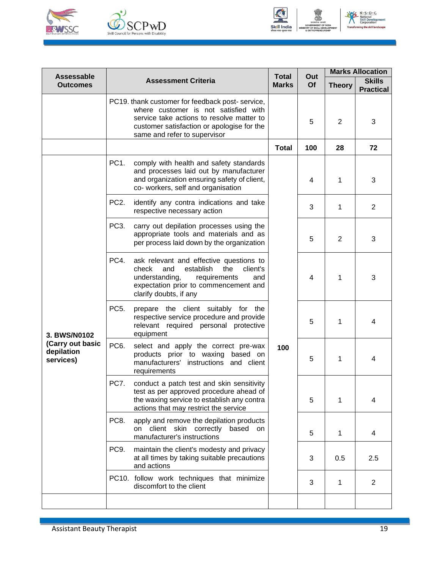





No Solutional<br>
Skill Developre ent

| Assessable                                  |                   | <b>Total</b>                                                                                                                                                                                                       | Out          | <b>Marks Allocation</b> |                |                                   |
|---------------------------------------------|-------------------|--------------------------------------------------------------------------------------------------------------------------------------------------------------------------------------------------------------------|--------------|-------------------------|----------------|-----------------------------------|
| <b>Outcomes</b>                             |                   | <b>Assessment Criteria</b>                                                                                                                                                                                         | <b>Marks</b> | <b>Of</b>               | <b>Theory</b>  | <b>Skills</b><br><b>Practical</b> |
|                                             |                   | PC19. thank customer for feedback post-service,<br>where customer is not satisfied with<br>service take actions to resolve matter to<br>customer satisfaction or apologise for the<br>same and refer to supervisor | <b>Total</b> | 5                       | $\overline{2}$ | 3                                 |
|                                             |                   |                                                                                                                                                                                                                    |              | 100                     | 28             | 72                                |
|                                             | PC1.              | comply with health and safety standards<br>and processes laid out by manufacturer<br>and organization ensuring safety of client,<br>co- workers, self and organisation                                             |              | 4                       | 1              | 3                                 |
|                                             | PC <sub>2</sub> . | identify any contra indications and take<br>respective necessary action                                                                                                                                            |              | 3                       | 1              | 2                                 |
|                                             | PC <sub>3</sub> . | carry out depilation processes using the<br>appropriate tools and materials and as<br>per process laid down by the organization                                                                                    |              | 5                       | 2              | 3                                 |
|                                             | PC4.              | ask relevant and effective questions to<br>check<br>and<br>establish<br>the<br>client's<br>understanding,<br>requirements<br>and<br>expectation prior to commencement and<br>clarify doubts, if any                |              | 4                       | 1              | 3                                 |
| 3. BWS/N0102                                | PC <sub>5</sub> . | prepare the client suitably for the<br>respective service procedure and provide<br>relevant required personal protective<br>equipment                                                                              |              | 5                       | 1              | 4                                 |
| (Carry out basic<br>depilation<br>services) | PC <sub>6</sub> . | select and apply the correct pre-wax<br>products prior to waxing based on<br>manufacturers' instructions and client<br>requirements                                                                                | 100          | 5                       | 1              | 4                                 |
|                                             | PC7.              | conduct a patch test and skin sensitivity<br>test as per approved procedure ahead of<br>the waxing service to establish any contra<br>actions that may restrict the service                                        |              | 5                       | 1              | 4                                 |
|                                             | PC8.              | apply and remove the depilation products<br>on client skin correctly<br>based<br><b>on</b><br>manufacturer's instructions                                                                                          |              | 5                       | $\mathbf 1$    | 4                                 |
|                                             | PC9.              | maintain the client's modesty and privacy<br>at all times by taking suitable precautions<br>and actions                                                                                                            |              | 3                       | 0.5            | 2.5                               |
|                                             |                   | PC10. follow work techniques that minimize<br>discomfort to the client                                                                                                                                             |              | 3                       | 1              | $\overline{2}$                    |
|                                             |                   |                                                                                                                                                                                                                    |              |                         |                |                                   |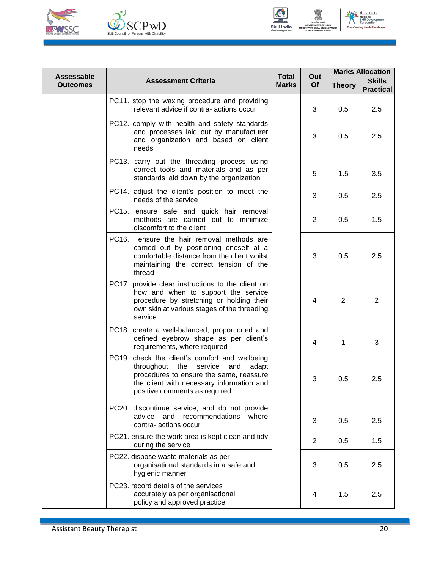





N.S.D.C.<br>National<br>Skill Developr<br>Corporation

| Assessable      | <b>Total</b>                                                                                                                                                                                                      |              | Out            | <b>Marks Allocation</b> |                                   |
|-----------------|-------------------------------------------------------------------------------------------------------------------------------------------------------------------------------------------------------------------|--------------|----------------|-------------------------|-----------------------------------|
| <b>Outcomes</b> | <b>Assessment Criteria</b>                                                                                                                                                                                        | <b>Marks</b> | <b>Of</b>      | <b>Theory</b>           | <b>Skills</b><br><b>Practical</b> |
|                 | PC11. stop the waxing procedure and providing<br>relevant advice if contra- actions occur                                                                                                                         |              | 3              | 0.5                     | 2.5                               |
|                 | PC12. comply with health and safety standards<br>and processes laid out by manufacturer<br>and organization and based on client<br>needs                                                                          |              | 3              | 0.5                     | 2.5                               |
|                 | PC13. carry out the threading process using<br>correct tools and materials and as per<br>standards laid down by the organization                                                                                  |              | 5              | 1.5                     | 3.5                               |
|                 | PC14. adjust the client's position to meet the<br>needs of the service                                                                                                                                            |              | 3              | 0.5                     | 2.5                               |
|                 | PC15. ensure safe and quick hair removal<br>methods are carried out to minimize<br>discomfort to the client                                                                                                       |              | $\overline{2}$ | 0.5                     | 1.5                               |
|                 | PC16.<br>ensure the hair removal methods are<br>carried out by positioning oneself at a<br>comfortable distance from the client whilst<br>maintaining the correct tension of the<br>thread                        |              | 3              | 0.5                     | 2.5                               |
|                 | PC17. provide clear instructions to the client on<br>how and when to support the service<br>procedure by stretching or holding their<br>own skin at various stages of the threading<br>service                    |              | 4              | 2                       | $\overline{2}$                    |
|                 | PC18. create a well-balanced, proportioned and<br>defined eyebrow shape as per client's<br>requirements, where required                                                                                           |              | 4              | 1                       | 3                                 |
|                 | PC19. check the client's comfort and wellbeing<br>throughout the service<br>and<br>adapt<br>procedures to ensure the same, reassure<br>the client with necessary information and<br>positive comments as required |              | 3              | 0.5                     | 2.5                               |
|                 | PC20. discontinue service, and do not provide<br>advice<br>and<br>recommendations<br>where<br>contra- actions occur                                                                                               |              | 3              | 0.5                     | 2.5                               |
|                 | PC21. ensure the work area is kept clean and tidy<br>during the service                                                                                                                                           |              | $\overline{2}$ | 0.5                     | 1.5                               |
|                 | PC22. dispose waste materials as per<br>organisational standards in a safe and<br>hygienic manner                                                                                                                 |              | 3              | 0.5                     | 2.5                               |
|                 | PC23. record details of the services<br>accurately as per organisational<br>policy and approved practice                                                                                                          |              | 4              | 1.5                     | 2.5                               |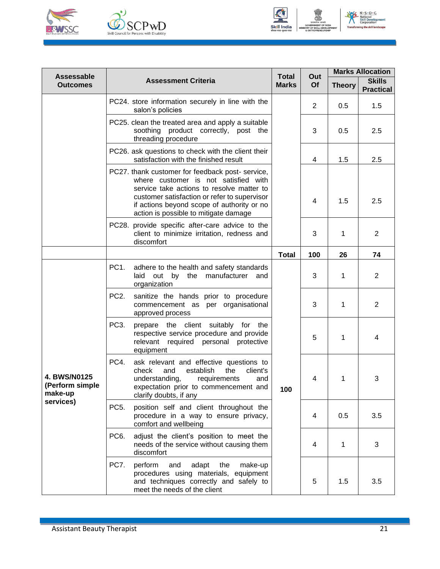





NE N.S.D.C **National<br>Skill Devertion** 

| Assessable                                 |                                                                                                                                                                                                                                                                             | <b>Total</b> | Out            | <b>Marks Allocation</b> |                                   |
|--------------------------------------------|-----------------------------------------------------------------------------------------------------------------------------------------------------------------------------------------------------------------------------------------------------------------------------|--------------|----------------|-------------------------|-----------------------------------|
| <b>Outcomes</b>                            | <b>Assessment Criteria</b>                                                                                                                                                                                                                                                  | <b>Marks</b> | Of             | <b>Theory</b>           | <b>Skills</b><br><b>Practical</b> |
|                                            | PC24. store information securely in line with the<br>salon's policies                                                                                                                                                                                                       |              | $\overline{2}$ | 0.5                     | 1.5                               |
|                                            | PC25. clean the treated area and apply a suitable<br>soothing product correctly, post the<br>threading procedure                                                                                                                                                            |              | 3              | 0.5                     | 2.5                               |
|                                            | PC26. ask questions to check with the client their<br>satisfaction with the finished result                                                                                                                                                                                 |              | 4              | 1.5                     | 2.5                               |
|                                            | PC27. thank customer for feedback post-service,<br>where customer is not satisfied with<br>service take actions to resolve matter to<br>customer satisfaction or refer to supervisor<br>if actions beyond scope of authority or no<br>action is possible to mitigate damage |              | $\overline{4}$ | 1.5                     | 2.5                               |
|                                            | PC28. provide specific after-care advice to the<br>client to minimize irritation, redness and<br>discomfort                                                                                                                                                                 |              | 3              | 1                       | $\overline{2}$                    |
|                                            |                                                                                                                                                                                                                                                                             | <b>Total</b> | 100            | 26                      | 74                                |
|                                            | PC1.<br>adhere to the health and safety standards<br>laid<br>out by<br>the<br>manufacturer<br>organization                                                                                                                                                                  | and          | 3              | 1                       | $\overline{2}$                    |
|                                            | PC <sub>2</sub> .<br>sanitize the hands prior to procedure<br>commencement as per organisational<br>approved process                                                                                                                                                        |              | 3              | 1                       | $\overline{2}$                    |
|                                            | PC <sub>3</sub> .<br>prepare the client suitably for the<br>respective service procedure and provide<br>relevant required personal protective<br>equipment                                                                                                                  |              | 5              | 1                       | 4                                 |
| 4. BWS/N0125<br>(Perform simple<br>make-up | PC4.<br>ask relevant and effective questions to<br>check<br>client's<br>establish<br>the<br>and<br>understanding,<br>requirements<br>expectation prior to commencement and<br>clarify doubts, if any                                                                        | and<br>100   | 4              | 1                       | 3                                 |
| services)                                  | PC <sub>5</sub> .<br>position self and client throughout the<br>procedure in a way to ensure privacy,<br>comfort and wellbeing                                                                                                                                              |              | 4              | 0.5                     | 3.5                               |
|                                            | PC <sub>6</sub> .<br>adjust the client's position to meet the<br>needs of the service without causing them<br>discomfort                                                                                                                                                    |              | 4              | 1                       | 3                                 |
|                                            | PC7.<br>perform<br>adapt<br>make-up<br>and<br>the<br>procedures using materials, equipment<br>and techniques correctly and safely to<br>meet the needs of the client                                                                                                        |              | 5              | 1.5                     | 3.5                               |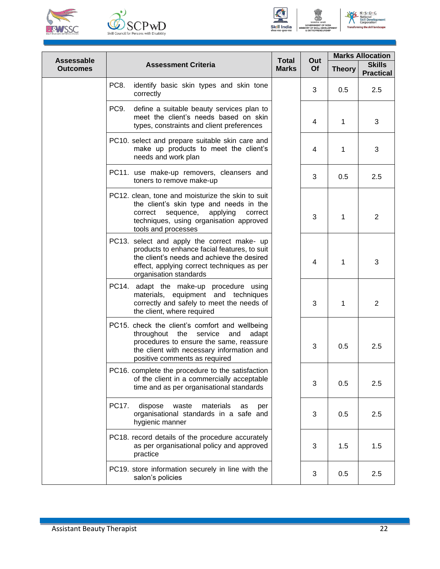





 $N \cdot S \cdot D \cdot C$ 

**Assessable Outcomes Assessment Criteria Total Marks Out Of Marks Allocation Theory Skills Practical** PC8. identify basic skin types and skin tone  $\frac{1}{2}$  0.5 2.5 correctly PC9. define a suitable beauty services plan to meet the client's needs based on skin types, constraints and client preferences  $\begin{vmatrix} 4 & 1 & 3 \end{vmatrix}$ PC10. select and prepare suitable skin care and make up products to meet the client's needs and work plan 4 | 1 | 3 PC11. use make-up removers, cleansers and toners to remove make-up  $\left| \frac{3}{3} \right| 0.5$  2.5 PC12. clean, tone and moisturize the skin to suit the client's skin type and needs in the correct sequence, applying correct techniques, using organisation approved tools and processes 3 1 2 PC13. select and apply the correct make- up products to enhance facial features, to suit the client's needs and achieve the desired effect, applying correct techniques as per organisation standards 4 | 1 | 3 PC14. adapt the make-up procedure using materials, equipment and techniques correctly and safely to meet the needs of the client, where required 3 1 2 PC15. check the client's comfort and wellbeing throughout the service and adapt procedures to ensure the same, reassure the client with necessary information and positive comments as required 3 0.5 2.5 PC16. complete the procedure to the satisfaction of the client in a commercially acceptable time and as per organisational standards  $\begin{bmatrix} 3 & 0.5 \\ 3 & 0.5 \end{bmatrix}$  2.5 PC17. dispose waste materials as per organisational standards in a safe and hygienic manner  $3 \mid 0.5 \mid 2.5$ PC18. record details of the procedure accurately as per organisational policy and approved practice 3 1.5 1.5 PC19. store information securely in line with the salon's policies  $\begin{bmatrix} 3 & 0.5 \\ 0.5 & 2.5 \end{bmatrix}$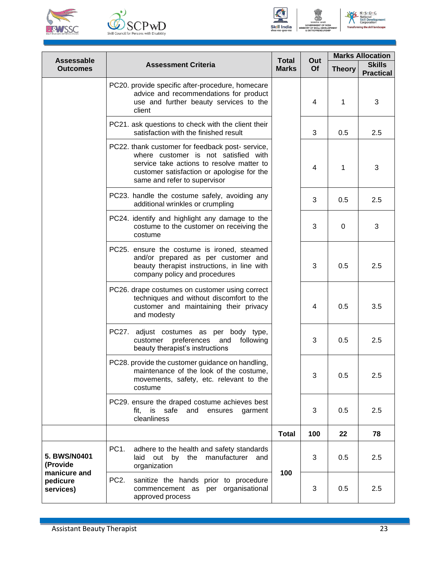





No Solutional<br>
Skill Developre ent

|                                       |                                                                                                                                                                                                                    |                              |                | <b>Marks Allocation</b> |                                   |
|---------------------------------------|--------------------------------------------------------------------------------------------------------------------------------------------------------------------------------------------------------------------|------------------------------|----------------|-------------------------|-----------------------------------|
| <b>Assessable</b><br><b>Outcomes</b>  | <b>Assessment Criteria</b>                                                                                                                                                                                         | <b>Total</b><br><b>Marks</b> | Out<br>Of      | <b>Theory</b>           | <b>Skills</b><br><b>Practical</b> |
|                                       | PC20. provide specific after-procedure, homecare<br>advice and recommendations for product<br>use and further beauty services to the<br>client                                                                     |                              | 4              | 1                       | 3                                 |
|                                       | PC21. ask questions to check with the client their<br>satisfaction with the finished result                                                                                                                        |                              | 3              | 0.5                     | 2.5                               |
|                                       | PC22. thank customer for feedback post-service,<br>where customer is not satisfied with<br>service take actions to resolve matter to<br>customer satisfaction or apologise for the<br>same and refer to supervisor |                              | $\overline{4}$ | 1                       | 3                                 |
|                                       | PC23. handle the costume safely, avoiding any<br>additional wrinkles or crumpling                                                                                                                                  |                              | 3              | 0.5                     | 2.5                               |
|                                       | PC24. identify and highlight any damage to the<br>costume to the customer on receiving the<br>costume                                                                                                              |                              | 3              | 0                       | 3                                 |
|                                       | PC25. ensure the costume is ironed, steamed<br>and/or prepared as per customer and<br>beauty therapist instructions, in line with<br>company policy and procedures                                                 |                              | 3              | 0.5                     | 2.5                               |
|                                       | PC26. drape costumes on customer using correct<br>techniques and without discomfort to the<br>customer and maintaining their privacy<br>and modesty                                                                |                              | 4              | 0.5                     | 3.5                               |
|                                       | PC27. adjust costumes as per body type,<br>preferences and<br>customer<br>following<br>beauty therapist's instructions                                                                                             |                              | 3              | 0.5                     | 2.5                               |
|                                       | PC28. provide the customer guidance on handling,<br>maintenance of the look of the costume,<br>movements, safety, etc. relevant to the<br>costume                                                                  |                              | 3              | 0.5                     | 2.5                               |
|                                       | PC29. ensure the draped costume achieves best<br>is<br>safe<br>and<br>ensures<br>fit.<br>garment<br>cleanliness                                                                                                    |                              | 3              | 0.5                     | 2.5                               |
|                                       |                                                                                                                                                                                                                    | <b>Total</b>                 | 100            | 22                      | 78                                |
| 5. BWS/N0401<br>(Provide              | PC <sub>1</sub> .<br>adhere to the health and safety standards<br>by<br>manufacturer<br>laid<br>out<br>the<br>and<br>organization                                                                                  |                              | 3              | 0.5                     | 2.5                               |
| manicure and<br>pedicure<br>services) | PC <sub>2</sub> .<br>sanitize the hands prior to procedure<br>commencement as per organisational<br>approved process                                                                                               | 100<br>3                     |                | 0.5                     | 2.5                               |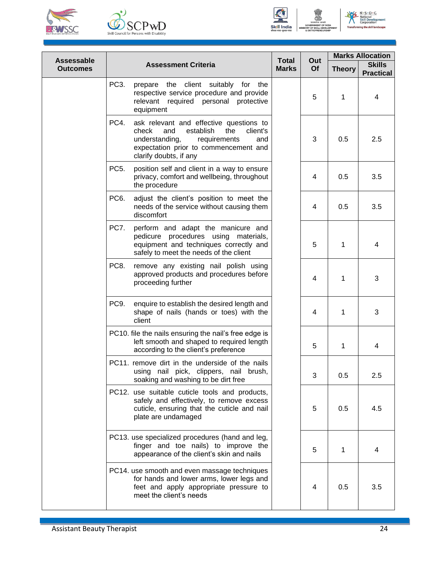





NE N.S.D.C **National<br>Skill Devertion** ent

| <b>Assessable</b> |                   |                                                                                                                                                                                                     | <b>Total</b> | Out            | <b>Marks Allocation</b> |                                   |
|-------------------|-------------------|-----------------------------------------------------------------------------------------------------------------------------------------------------------------------------------------------------|--------------|----------------|-------------------------|-----------------------------------|
| <b>Outcomes</b>   |                   | <b>Assessment Criteria</b>                                                                                                                                                                          | <b>Marks</b> | Of             | <b>Theory</b>           | <b>Skills</b><br><b>Practical</b> |
|                   | PC <sub>3</sub> . | prepare the client suitably for the<br>respective service procedure and provide<br>relevant required personal<br>protective<br>equipment                                                            |              | 5              | 1                       | 4                                 |
|                   | PC4.              | ask relevant and effective questions to<br>check<br>establish<br>the<br>and<br>client's<br>understanding,<br>requirements<br>and<br>expectation prior to commencement and<br>clarify doubts, if any |              | 3              | 0.5                     | 2.5                               |
|                   | PC <sub>5</sub> . | position self and client in a way to ensure<br>privacy, comfort and wellbeing, throughout<br>the procedure                                                                                          |              | 4              | 0.5                     | 3.5                               |
|                   | PC <sub>6</sub> . | adjust the client's position to meet the<br>needs of the service without causing them<br>discomfort                                                                                                 |              | 4              | 0.5                     | 3.5                               |
|                   | PC7.              | perform and adapt the manicure and<br>pedicure procedures using materials,<br>equipment and techniques correctly and<br>safely to meet the needs of the client                                      |              | 5              | 1                       | 4                                 |
|                   | PC8.              | remove any existing nail polish using<br>approved products and procedures before<br>proceeding further                                                                                              |              | 4              | 1                       | 3                                 |
|                   | PC9.              | enquire to establish the desired length and<br>shape of nails (hands or toes) with the<br>client                                                                                                    |              | $\overline{4}$ | 1                       | 3                                 |
|                   |                   | PC10. file the nails ensuring the nail's free edge is<br>left smooth and shaped to required length<br>according to the client's preference                                                          |              | 5              | 1                       | 4                                 |
|                   |                   | PC11. remove dirt in the underside of the nails<br>using nail pick, clippers, nail brush,<br>soaking and washing to be dirt free                                                                    |              | 3              | 0.5                     | 2.5                               |
|                   |                   | PC12. use suitable cuticle tools and products,<br>safely and effectively, to remove excess<br>cuticle, ensuring that the cuticle and nail<br>plate are undamaged                                    |              | 5              | 0.5                     | 4.5                               |
|                   |                   | PC13. use specialized procedures (hand and leg,<br>finger and toe nails) to improve the<br>appearance of the client's skin and nails                                                                |              | 5              | 1                       | 4                                 |
|                   |                   | PC14. use smooth and even massage techniques<br>for hands and lower arms, lower legs and<br>feet and apply appropriate pressure to<br>meet the client's needs                                       |              | 4              | 0.5                     | 3.5                               |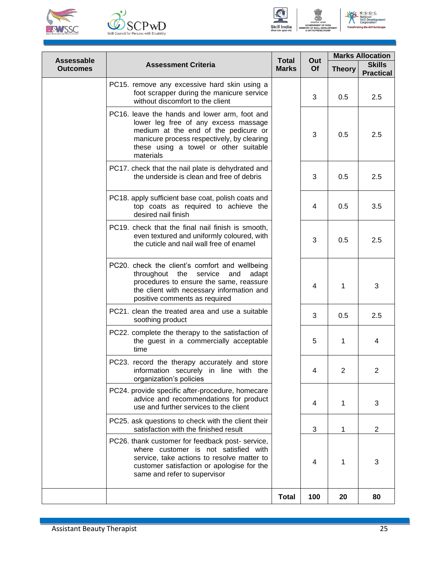





No Solutional<br>
Skill Developre ent

| <b>Assessable</b><br><b>Outcomes</b> | <b>Assessment Criteria</b>                                                                                                                                                                                                        | <b>Total</b><br><b>Marks</b> | Out<br>Of               | <b>Marks Allocation</b> |                                   |  |
|--------------------------------------|-----------------------------------------------------------------------------------------------------------------------------------------------------------------------------------------------------------------------------------|------------------------------|-------------------------|-------------------------|-----------------------------------|--|
|                                      |                                                                                                                                                                                                                                   |                              |                         | <b>Theory</b>           | <b>Skills</b><br><b>Practical</b> |  |
|                                      | PC15. remove any excessive hard skin using a<br>foot scrapper during the manicure service<br>without discomfort to the client                                                                                                     |                              | 3                       | 0.5                     | 2.5                               |  |
|                                      | PC16. leave the hands and lower arm, foot and<br>lower leg free of any excess massage<br>medium at the end of the pedicure or<br>manicure process respectively, by clearing<br>these using a towel or other suitable<br>materials |                              | 3                       | 0.5                     | 2.5                               |  |
|                                      | PC17. check that the nail plate is dehydrated and<br>the underside is clean and free of debris                                                                                                                                    |                              | 3                       | 0.5                     | 2.5                               |  |
|                                      | PC18. apply sufficient base coat, polish coats and<br>top coats as required to achieve the<br>desired nail finish                                                                                                                 |                              | 4                       | 0.5                     | 3.5                               |  |
|                                      | PC19. check that the final nail finish is smooth,<br>even textured and uniformly coloured, with<br>the cuticle and nail wall free of enamel                                                                                       |                              | 3                       | 0.5                     | 2.5                               |  |
|                                      | PC20. check the client's comfort and wellbeing<br>throughout the<br>service<br>and<br>adapt<br>procedures to ensure the same, reassure<br>the client with necessary information and<br>positive comments as required              |                              | $\overline{4}$          | 1                       | 3                                 |  |
|                                      | PC21. clean the treated area and use a suitable<br>soothing product                                                                                                                                                               |                              | 3                       | 0.5                     | 2.5                               |  |
|                                      | PC22. complete the therapy to the satisfaction of<br>the guest in a commercially acceptable<br>time                                                                                                                               |                              | 5                       | 1                       | 4                                 |  |
|                                      | PC23. record the therapy accurately and store<br>information securely in line with the<br>organization's policies                                                                                                                 |                              | 4                       | 2                       | 2                                 |  |
|                                      | PC24. provide specific after-procedure, homecare<br>advice and recommendations for product<br>use and further services to the client                                                                                              |                              | 4                       | 1                       | 3                                 |  |
|                                      | PC25. ask questions to check with the client their<br>satisfaction with the finished result                                                                                                                                       |                              | 3                       | 1                       | $\overline{2}$                    |  |
|                                      | PC26. thank customer for feedback post- service,<br>where customer is not satisfied with<br>service, take actions to resolve matter to<br>customer satisfaction or apologise for the<br>same and refer to supervisor              |                              | $\overline{\mathbf{4}}$ | 1                       | 3                                 |  |
|                                      |                                                                                                                                                                                                                                   | <b>Total</b>                 | 100                     | 20                      | 80                                |  |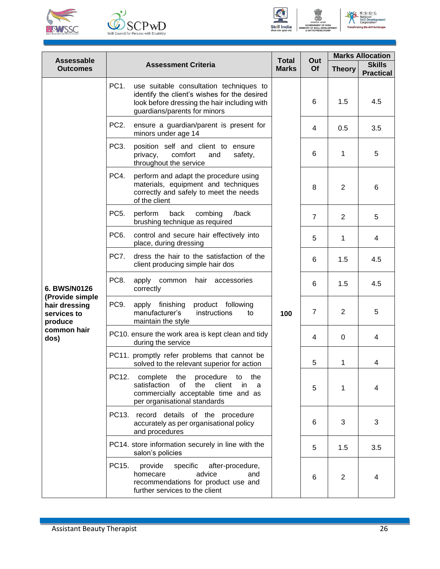





N.S.D.C.<br>National<br>Skill Developr<br>Corporation ent

| Assessable                                                                                        |                            | <b>Total</b><br><b>Marks</b>                                                                                                                                            | Out<br>Of | <b>Marks Allocation</b> |                                   |     |
|---------------------------------------------------------------------------------------------------|----------------------------|-------------------------------------------------------------------------------------------------------------------------------------------------------------------------|-----------|-------------------------|-----------------------------------|-----|
| <b>Outcomes</b>                                                                                   | <b>Assessment Criteria</b> |                                                                                                                                                                         |           | <b>Theory</b>           | <b>Skills</b><br><b>Practical</b> |     |
| 6. BWS/N0126<br>(Provide simple<br>hair dressing<br>services to<br>produce<br>common hair<br>dos) | PC1.                       | use suitable consultation techniques to<br>identify the client's wishes for the desired<br>look before dressing the hair including with<br>guardians/parents for minors | 100       | 6                       | 1.5                               | 4.5 |
|                                                                                                   | PC <sub>2</sub> .          | ensure a guardian/parent is present for<br>minors under age 14                                                                                                          |           | 4                       | 0.5                               | 3.5 |
|                                                                                                   | PC3.                       | position self and client to ensure<br>privacy,<br>comfort<br>and<br>safety,<br>throughout the service                                                                   |           | 6                       | 1                                 | 5   |
|                                                                                                   | PC4.                       | perform and adapt the procedure using<br>materials, equipment and techniques<br>correctly and safely to meet the needs<br>of the client                                 |           | 8                       | 2                                 | 6   |
|                                                                                                   | PC <sub>5</sub> .          | perform<br>back<br>combing<br>/back<br>brushing technique as required                                                                                                   |           | $\overline{7}$          | 2                                 | 5   |
|                                                                                                   | PC6.                       | control and secure hair effectively into<br>place, during dressing                                                                                                      |           | 5                       | 1                                 | 4   |
|                                                                                                   | PC7.                       | dress the hair to the satisfaction of the<br>client producing simple hair dos                                                                                           |           | 6                       | 1.5                               | 4.5 |
|                                                                                                   | PC8.                       | apply<br>common<br>hair<br>accessories<br>correctly                                                                                                                     |           | 6                       | 1.5                               | 4.5 |
|                                                                                                   | PC9.                       | apply finishing<br>product following<br>manufacturer's<br>instructions<br>to<br>maintain the style                                                                      |           | $\overline{7}$          | 2                                 | 5   |
|                                                                                                   |                            | PC10. ensure the work area is kept clean and tidy<br>during the service                                                                                                 |           | 4                       | $\Omega$                          | 4   |
|                                                                                                   |                            | PC11. promptly refer problems that cannot be<br>solved to the relevant superior for action                                                                              |           | 5                       | 1                                 | 4   |
|                                                                                                   | PC12.                      | complete<br>the<br>procedure<br>the<br>to<br>satisfaction<br>of<br>the<br>client<br>in<br>a<br>commercially acceptable time and as<br>per organisational standards      |           | 5                       | 1                                 | 4   |
|                                                                                                   | PC13.                      | record details of the procedure<br>accurately as per organisational policy<br>and procedures                                                                            |           | 6                       | 3                                 | 3   |
|                                                                                                   |                            | PC14. store information securely in line with the<br>salon's policies                                                                                                   |           | 5                       | 1.5                               | 3.5 |
|                                                                                                   | PC15.                      | provide<br>specific<br>after-procedure,<br>advice<br>homecare<br>and<br>recommendations for product use and<br>further services to the client                           |           | 6                       | 2                                 | 4   |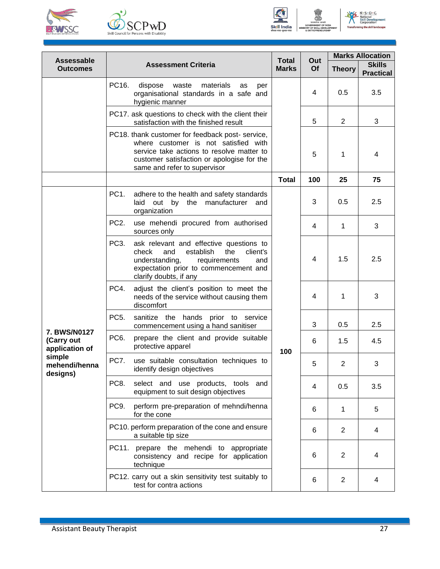





No Solutional<br>
Skill Developre ent

|                                                                                            |                                                                                                                                                                                                                          | <b>Total</b> |           | <b>Marks Allocation</b> |                                   |
|--------------------------------------------------------------------------------------------|--------------------------------------------------------------------------------------------------------------------------------------------------------------------------------------------------------------------------|--------------|-----------|-------------------------|-----------------------------------|
| Assessable<br><b>Outcomes</b>                                                              | <b>Assessment Criteria</b>                                                                                                                                                                                               |              | Out<br>Of | <b>Theory</b>           | <b>Skills</b><br><b>Practical</b> |
|                                                                                            | PC16.<br>dispose<br>waste<br>materials<br>as<br>per<br>organisational standards in a safe and<br>hygienic manner                                                                                                         |              | 4         | 0.5                     | 3.5                               |
|                                                                                            | PC17. ask questions to check with the client their<br>satisfaction with the finished result                                                                                                                              |              | 5         | 2                       | 3                                 |
|                                                                                            | PC18. thank customer for feedback post-service,<br>where customer is not satisfied with<br>service take actions to resolve matter to<br>customer satisfaction or apologise for the<br>same and refer to supervisor       |              | 5         | 1                       | 4                                 |
|                                                                                            |                                                                                                                                                                                                                          | <b>Total</b> | 100       | 25                      | 75                                |
|                                                                                            | PC <sub>1</sub><br>adhere to the health and safety standards<br>laid out by<br>the manufacturer<br>and<br>organization                                                                                                   | 100          | 3         | 0.5                     | 2.5                               |
|                                                                                            | PC <sub>2</sub> .<br>use mehendi procured from authorised<br>sources only                                                                                                                                                |              | 4         | $\mathbf{1}$            | 3                                 |
|                                                                                            | PC <sub>3</sub> .<br>ask relevant and effective questions to<br>establish<br>check<br>and<br>the<br>client's<br>understanding,<br>requirements<br>and<br>expectation prior to commencement and<br>clarify doubts, if any |              | 4         | 1.5                     | 2.5                               |
|                                                                                            | PC4.<br>adjust the client's position to meet the<br>needs of the service without causing them<br>discomfort                                                                                                              |              | 4         | 1                       | 3                                 |
|                                                                                            | PC <sub>5</sub> .<br>sanitize the hands prior to service<br>commencement using a hand sanitiser                                                                                                                          |              | 3         | 0.5                     | 2.5                               |
| <b>7. BWS/N0127</b><br>(Carry out<br>application of<br>simple<br>mehendi/henna<br>designs) | PC <sub>6</sub> .<br>prepare the client and provide suitable<br>protective apparel                                                                                                                                       |              | 6         | 1.5                     | 4.5                               |
|                                                                                            | PC7.<br>use suitable consultation techniques to<br>identify design objectives                                                                                                                                            |              | 5         | $\overline{2}$          | 3                                 |
|                                                                                            | PC8.<br>select and use products, tools<br>and<br>equipment to suit design objectives                                                                                                                                     |              | 4         | 0.5                     | 3.5                               |
|                                                                                            | PC9.<br>perform pre-preparation of mehndi/henna<br>for the cone                                                                                                                                                          |              | 6         | 1                       | 5                                 |
|                                                                                            | PC10. perform preparation of the cone and ensure<br>a suitable tip size                                                                                                                                                  |              | 6         | 2                       | 4                                 |
|                                                                                            | PC11.<br>prepare the mehendi to appropriate<br>consistency and recipe for application<br>technique                                                                                                                       |              | 6         | $\overline{2}$          | 4                                 |
|                                                                                            | PC12. carry out a skin sensitivity test suitably to<br>test for contra actions                                                                                                                                           |              | 6         | $\overline{2}$          | 4                                 |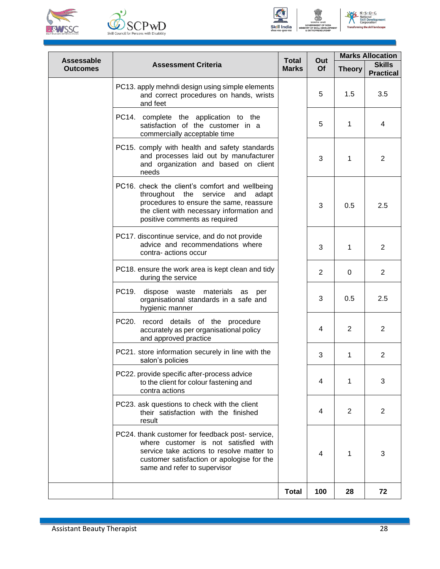





 $N \cdot S \cdot D \cdot C$ 

**Assessable Outcomes Assessment Criteria Total Marks Out Of Marks Allocation Theory Skills Practical** PC13. apply mehndi design using simple elements and correct procedures on hands, wrists and feet  $5 \mid 1.5 \mid 3.5$ PC14. complete the application to the satisfaction of the customer in a commercially acceptable time 5 1 4 PC15. comply with health and safety standards and processes laid out by manufacturer and organization and based on client needs 3 1 2 PC16. check the client's comfort and wellbeing throughout the service and adapt procedures to ensure the same, reassure the client with necessary information and positive comments as required 3 0.5 2.5 PC17. discontinue service, and do not provide advice and recommendations where contra- actions occur 3 1 2 PC18. ensure the work area is kept clean and tidy during the service 2 0 2 PC19. dispose waste materials as per organisational standards in a safe and hygienic manner  $3 \t 0.5 \t 2.5$ PC20. record details of the procedure accurately as per organisational policy and approved practice 4 2 2 PC21. store information securely in line with the salon's policies 3 1 2 PC22. provide specific after-process advice to the client for colour fastening and contra actions 4 1 3 PC23. ask questions to check with the client their satisfaction with the finished result 4 2 2 PC24. thank customer for feedback post- service, where customer is not satisfied with service take actions to resolve matter to customer satisfaction or apologise for the same and refer to supervisor 4 1 3 **Total 100 28 72**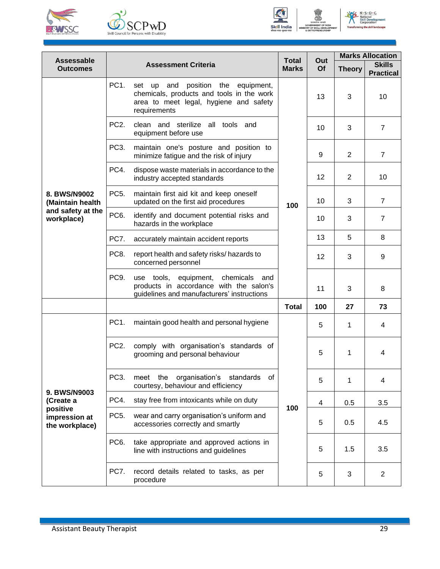





 $N \cdot S \cdot D \cdot C$ 

**Assessable Outcomes Assessment Criteria Total Marks Out Of Marks Allocation Theory Skills Practical 8. BWS/N9002 (Maintain health and safety at the workplace)** PC1. set up and position the equipment, chemicals, products and tools in the work area to meet legal, hygiene and safety requirements **100**  $13 \mid 3 \mid 10$ PC2. clean and sterilize all tools and equipment before use  $10 \mid 3 \mid 7$ PC3. maintain one's posture and position to minimize fatigue and the risk of injury 9 2 7 PC4. dispose waste materials in accordance to the industry accepted standards 12 2 10 PC5. maintain first aid kit and keep oneself updated on the first aid procedures 10 3 7 PC6. identify and document potential risks and hazards in the workplace  $10 \mid 3 \mid 7$ PC7. accurately maintain accident reports 13 5 8 PC8. report health and safety risks/ hazards to concerned personnel  $12 \mid 3 \mid 9$ PC9. use tools, equipment, chemicals and products in accordance with the salon's guidelines and manufacturers' instructions 11 | 3 | 8 **Total 100 27 73 9. BWS/N9003 (Create a positive impression at the workplace)** PC1. maintain good health and personal hygiene **100** 5 1 4 PC2. comply with organisation's standards of grooming and personal behaviour  $\begin{array}{|c|c|c|c|c|c|c|c|c|} \hline \end{array}$  5 | 1 | 4 PC3. meet the organisation's standards of courtesy, behaviour and efficiency 5 1 4 PC4. stay free from intoxicants while on duty  $\begin{array}{|c|c|c|c|c|c|c|c|c|} \hline & 4 & 0.5 & 3.5 \ \hline \end{array}$ PC5. wear and carry organisation's uniform and accessories correctly and smartly **1** 1 5 0.5 4.5 PC6. take appropriate and approved actions in line with instructions and guidelines  $\begin{array}{|c|c|c|c|c|c|c|c|} \hline \end{array}$  5 | 1.5 | 3.5 PC7. record details related to tasks, as per procedure 5 3 2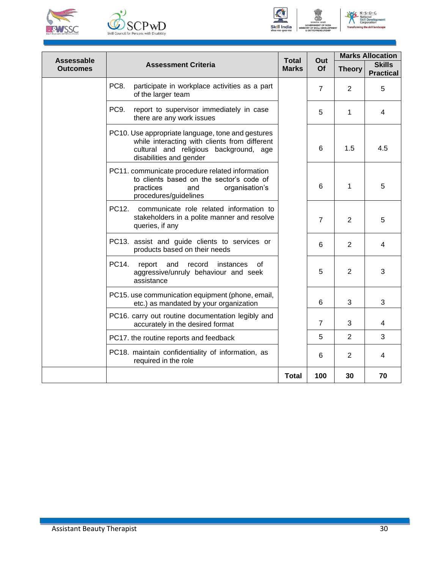





No Solutional<br>
Skill Developre

| <b>Assessable</b> | <b>Assessment Criteria</b>                                                                                                                                              | <b>Total</b><br><b>Marks</b> | Out<br>Of      | <b>Marks Allocation</b> |                                   |
|-------------------|-------------------------------------------------------------------------------------------------------------------------------------------------------------------------|------------------------------|----------------|-------------------------|-----------------------------------|
| <b>Outcomes</b>   |                                                                                                                                                                         |                              |                | <b>Theory</b>           | <b>Skills</b><br><b>Practical</b> |
|                   | PC8.<br>participate in workplace activities as a part<br>of the larger team                                                                                             |                              | $\overline{7}$ | 2                       | 5                                 |
|                   | PC9.<br>report to supervisor immediately in case<br>there are any work issues                                                                                           |                              | 5              | 1                       | 4                                 |
|                   | PC10. Use appropriate language, tone and gestures<br>while interacting with clients from different<br>cultural and religious background, age<br>disabilities and gender |                              | 6              | 1.5                     | 4.5                               |
|                   | PC11. communicate procedure related information<br>to clients based on the sector's code of<br>practices<br>and<br>organisation's<br>procedures/guidelines              |                              | 6              | 1                       | 5                                 |
|                   | PC12.<br>communicate role related information to<br>stakeholders in a polite manner and resolve<br>queries, if any                                                      |                              | $\overline{7}$ | 2                       | 5                                 |
|                   | PC13. assist and guide clients to services or<br>products based on their needs                                                                                          |                              | 6              | 2                       | $\overline{4}$                    |
|                   | PC14.<br>and<br>record<br>instances<br>report<br>οf<br>aggressive/unruly behaviour and seek<br>assistance                                                               |                              | 5              | 2                       | 3                                 |
|                   | PC15. use communication equipment (phone, email,<br>etc.) as mandated by your organization                                                                              |                              | 6              | 3                       | 3                                 |
|                   | PC16. carry out routine documentation legibly and<br>accurately in the desired format                                                                                   |                              | $\overline{7}$ | 3                       | 4                                 |
|                   | PC17. the routine reports and feedback                                                                                                                                  |                              | 5              | $\overline{2}$          | 3                                 |
|                   | PC18. maintain confidentiality of information, as<br>required in the role                                                                                               |                              | 6              | 2                       | 4                                 |
|                   |                                                                                                                                                                         | <b>Total</b>                 | 100            | 30                      | 70                                |